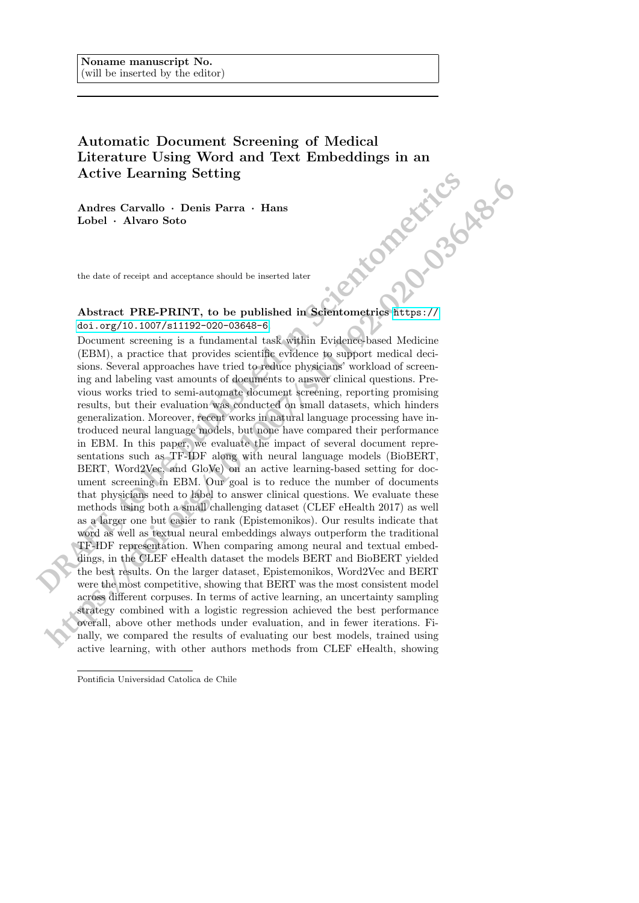# <span id="page-0-0"></span>Automatic Document Screening of Medical<br>Literature Using Word and Text Embeddings in an<br>Active Learning Setting<br>Andres Carvallo · Denis Parra · Hans<br>Lobel · Alvaro Soto<br>the date of receipt and acceptare Literature Using Word and Text Embeddings in an Active Learning Setting

Andres Carvallo · Denis Parra · Hans Lobel · Alvaro Soto

the date of receipt and acceptance should be inserted later

# Abstract PRE-PRINT, to be published in Scientometrics https:// doi.org/10.1007/s11192-020-03648-6.

**Active Learning Setting**<br> **Drawing Setting**<br> **Drawing Setting**<br> **Drawing Lobel** . Alvaro Soto<br> **Drawing Lobel** . Alvaro Soto<br> **Abstract PRE-PRINT, to be published in Second<br>
<b>Drawing Loven Abstract PRE-PRINT, to be publi** Andres Carculing Societing Societing Hams<br>
Lobel - Alvaro Soto Barra - Hams<br>
Lobel - Alvaro Soto Barra - Hams<br>
Lobel - Alvaro Soto Barra - Hams<br>
Abstract PRE-PRINT, to be published in Scientioneric<br>ites://doi.org/10.1007/ Document screening is a fundamental task within Evidence-based Medicine (EBM), a practice that provides scientific evidence to support medical decisions. Several approaches have tried to reduce physicians' workload of screening and labeling vast amounts of documents to answer clinical questions. Previous works tried to semi-automate document screening, reporting promising results, but their evaluation was conducted on small datasets, which hinders generalization. Moreover, recent works in natural language processing have introduced neural language models, but none have compared their performance in EBM. In this paper, we evaluate the impact of several document representations such as TF-IDF along with neural language models (BioBERT, BERT, Word2Vec, and GloVe) on an active learning-based setting for document screening in EBM. Our goal is to reduce the number of documents that physicians need to label to answer clinical questions. We evaluate these methods using both a small challenging dataset (CLEF eHealth 2017) as well as a larger one but easier to rank (Epistemonikos). Our results indicate that word as well as textual neural embeddings always outperform the traditional TF-IDF representation. When comparing among neural and textual embeddings, in the CLEF eHealth dataset the models BERT and BioBERT yielded the best results. On the larger dataset, Epistemonikos, Word2Vec and BERT were the most competitive, showing that BERT was the most consistent model across different corpuses. In terms of active learning, an uncertainty sampling strategy combined with a logistic regression achieved the best performance overall, above other methods under evaluation, and in fewer iterations. Finally, we compared the results of evaluating our best models, trained using active learning, with other authors methods from CLEF eHealth, showing

Pontificia Universidad Catolica de Chile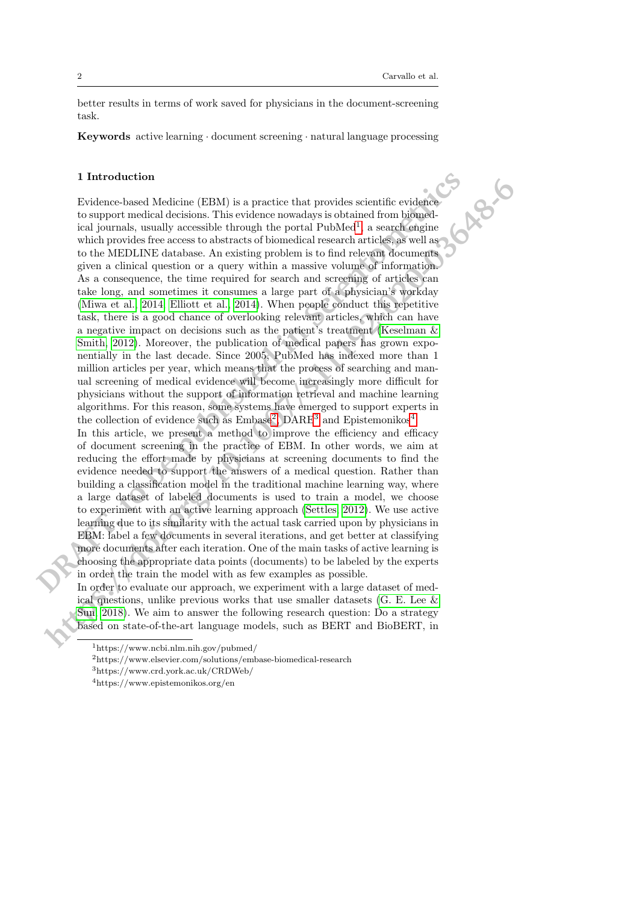better results in terms of work saved for physicians in the document-screening task.

**Keywords** active learning  $\cdot$  document screening  $\cdot$  natural language processing

#### 1 Introduction

**I** Introduction (EBM) is a practice that provides scientific evidence,<br>based Medicine (EBM) is a practice that provides scientific evidence<br>to souport-<br>tois public and decisions. This evidence nowadays is obtained from h **hhth** colding (**kBM**) is a practice that provides scientific evidence to support medical decisions. This evidence nowaday is obtained from bifometical journals, usually accessible through the portal control the phBLME Evidence-based Medicine (EBM) is a practice that provides scientific evidence to support medical decisions. This evidence nowadays is obtained from biomedical journals, usually accessible through the portal PubMed<sup>1</sup>, a search engine which provides free access to abstracts of biomedical research articles, as well as to the MEDLINE database. An existing problem is to find relevant documents given a clinical question or a query within a massive volume of information. As a consequence, the time required for search and screening of articles can take long, and sometimes it consumes a large part of a physician's workday (Miwa et al., 2014; Elliott et al., 2014). When people conduct this repetitive task, there is a good chance of overlooking relevant articles, which can have a negative impact on decisions such as the patient's treatment (Keselman & Smith, 2012). Moreover, the publication of medical papers has grown exponentially in the last decade. Since 2005, PubMed has indexed more than 1 million articles per year, which means that the process of searching and manual screening of medical evidence will become increasingly more difficult for physicians without the support of information retrieval and machine learning algorithms. For this reason, some systems have emerged to support experts in the collection of evidence such as  $Embase^2$ ,  $DARE^3$  and  $Epistemonikos^4$ .

In this article, we present a method to improve the efficiency and efficacy of document screening in the practice of EBM. In other words, we aim at reducing the effort made by physicians at screening documents to find the evidence needed to support the answers of a medical question. Rather than building a classification model in the traditional machine learning way, where a large dataset of labeled documents is used to train a model, we choose to experiment with an active learning approach (Settles, 2012). We use active learning due to its similarity with the actual task carried upon by physicians in EBM: label a few documents in several iterations, and get better at classifying more documents after each iteration. One of the main tasks of active learning is choosing the appropriate data points (documents) to be labeled by the experts in order the train the model with as few examples as possible.

In order to evaluate our approach, we experiment with a large dataset of medical questions, unlike previous works that use smaller datasets (G. E. Lee  $\&$ Sun, 2018). We aim to answer the following research question: Do a strategy based on state-of-the-art language models, such as BERT and BioBERT, in

<sup>1</sup>https://www.ncbi.nlm.nih.gov/pubmed/

<sup>2</sup>https://www.elsevier.com/solutions/embase-biomedical-research

<sup>3</sup>https://www.crd.york.ac.uk/CRDWeb/

<sup>4</sup>https://www.epistemonikos.org/en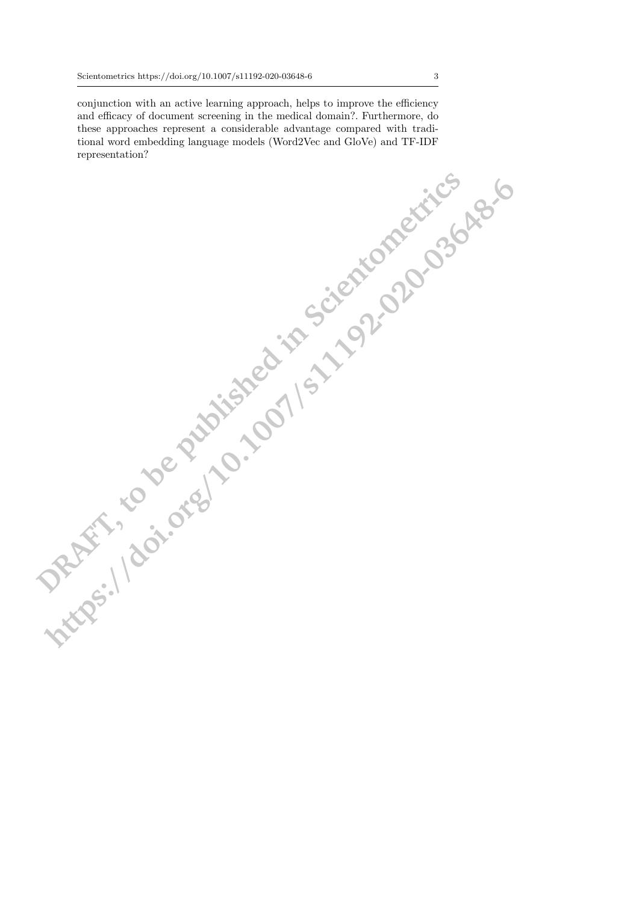conjunction with an active learning approach, helps to improve the efficiency and efficacy of document screening in the medical domain?. Furthermore, do these approaches represent a considerable advantage compared with traditional word embedding language models (Word2Vec and GloVe) and TF-IDF representation?

**PRAFT, 100 Published** in Scientometrics AB-6<br>PRAFT, 100 Permiting 01/s1192.020-03648-6<br>PRAFT, 1001.0rg/10.1007/s1192.020-03648-6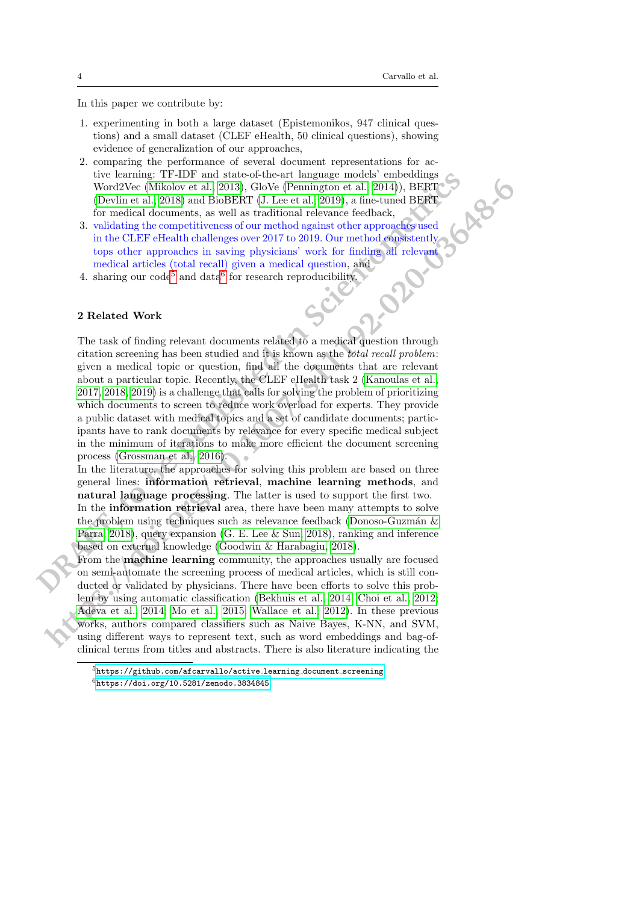In this paper we contribute by:

- 1. experimenting in both a large dataset (Epistemonikos, 947 clinical questions) and a small dataset (CLEF eHealth, 50 clinical questions), showing evidence of generalization of our approaches,
- 2. comparing the performance of several document representations for active learning: TF-IDF and state-of-the-art language models' embeddings Word2Vec (Mikolov et al., 2013), GloVe (Pennington et al., 2014)), BERT (Devlin et al., 2018) and BioBERT (J. Lee et al., 2019), a fine-tuned BERT for medical documents, as well as traditional relevance feedback,
- 3. validating the competitiveness of our method against other approaches used in the CLEF eHealth challenges over 2017 to 2019. Our method consistently tops other approaches in saving physicians' work for finding all relevant medical articles (total recall) given a medical question, and
- 4. sharing our  $\text{code}^5$  and  $\text{data}^6$  for research reproducibility.

#### 2 Related Work

For example of FF-DF and state-of-the-attace inpediation of the singulation of the singulation of the singular control of the model of the singular control of the model of the singular computation of the model of the sing **h** to the CM2 (Mislobo et al., 2013), Glove (Pennington et al., 2014), BERR<sup>1</sup><br>
(better 84., 2018) and B66BERT (J. Lee al., 2019), and the tune of BBCR (Transfer and to the tune dependent of the angular street and the co The task of finding relevant documents related to a medical question through citation screening has been studied and it is known as the total recall problem: given a medical topic or question, find all the documents that are relevant about a particular topic. Recently, the CLEF eHealth task 2 (Kanoulas et al., 2017, 2018, 2019) is a challenge that calls for solving the problem of prioritizing which documents to screen to reduce work overload for experts. They provide a public dataset with medical topics and a set of candidate documents; participants have to rank documents by relevance for every specific medical subject in the minimum of iterations to make more efficient the document screening process (Grossman et al., 2016).

In the literature, the approaches for solving this problem are based on three general lines: information retrieval, machine learning methods, and natural language processing. The latter is used to support the first two. In the information retrieval area, there have been many attempts to solve the problem using techniques such as relevance feedback (Donoso-Guzmán  $\&$ Parra, 2018), query expansion (G. E. Lee & Sun, 2018), ranking and inference based on external knowledge (Goodwin & Harabagiu, 2018).

From the machine learning community, the approaches usually are focused on semi-automate the screening process of medical articles, which is still conducted or validated by physicians. There have been efforts to solve this problem by using automatic classification (Bekhuis et al., 2014; Choi et al., 2012; Adeva et al., 2014; Mo et al., 2015; Wallace et al., 2012). In these previous works, authors compared classifiers such as Naive Bayes, K-NN, and SVM, using different ways to represent text, such as word embeddings and bag-ofclinical terms from titles and abstracts. There is also literature indicating the

<sup>5</sup>[https://github.com/afcarvallo/active](https://github.com/afcarvallo/active_learning_document_screening) learning document screening  $6$ <https://doi.org/10.5281/zenodo.3834845>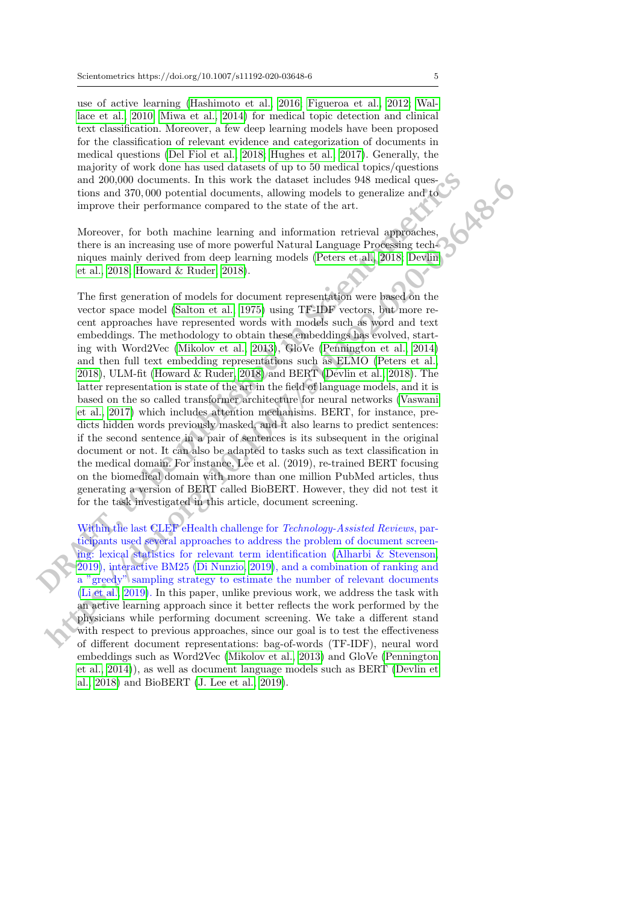use of active learning [\(Hashimoto et al., 2016;](#page-33-6) [Figueroa et al., 2012;](#page-33-7) [Wal](#page-35-2)[lace et al., 2010;](#page-35-2) [Miwa et al., 2014\)](#page-34-0) for medical topic detection and clinical text classification. Moreover, a few deep learning models have been proposed for the classification of relevant evidence and categorization of documents in medical questions [\(Del Fiol et al., 2018;](#page-32-5) [Hughes et al., 2017\)](#page-33-8). Generally, the majority of work done has used datasets of up to 50 medical topics/questions and 200,000 documents. In this work the dataset includes 948 medical questions and 370, 000 potential documents, allowing models to generalize and to improve their performance compared to the state of the art.

Moreover, for both machine learning and information retrieval approaches, there is an increasing use of more powerful Natural Language Processing techniques mainly derived from deep learning models (Peters et al., 2018; Devlin et al., 2018; Howard & Ruder, 2018).

and 200,000 documents. In this work the dataset includes 948 medical questions and 370,000 potential documents, allowing models to generalize and to improve their performance compared to the state of the art.<br>
Moreover, f and 200,000 decemments. In this work the dataset includes 848 medical questions and 370,000 decemminates allowing models to generalize and to improve their performance compared to the state of the art.<br>Moreover, for both The first generation of models for document representation were based on the vector space model (Salton et al., 1975) using TF-IDF vectors, but more recent approaches have represented words with models such as word and text embeddings. The methodology to obtain these embeddings has evolved, starting with Word2Vec (Mikolov et al., 2013), GloVe (Pennington et al., 2014) and then full text embedding representations such as ELMO (Peters et al., 2018), ULM-fit (Howard & Ruder, 2018) and BERT (Devlin et al., 2018). The latter representation is state of the art in the field of language models, and it is based on the so called transformer architecture for neural networks (Vaswani et al., 2017) which includes attention mechanisms. BERT, for instance, predicts hidden words previously masked, and it also learns to predict sentences: if the second sentence in a pair of sentences is its subsequent in the original document or not. It can also be adapted to tasks such as text classification in the medical domain. For instance, Lee et al. (2019), re-trained BERT focusing on the biomedical domain with more than one million PubMed articles, thus generating a version of BERT called BioBERT. However, they did not test it for the task investigated in this article, document screening.

Within the last CLEF eHealth challenge for Technology-Assisted Reviews, participants used several approaches to address the problem of document screening: lexical statistics for relevant term identification (Alharbi & Stevenson, 2019), interactive BM25 (Di Nunzio, 2019), and a combination of ranking and a "greedy" sampling strategy to estimate the number of relevant documents (Li et al., 2019). In this paper, unlike previous work, we address the task with an active learning approach since it better reflects the work performed by the physicians while performing document screening. We take a different stand with respect to previous approaches, since our goal is to test the effectiveness of different document representations: bag-of-words (TF-IDF), neural word embeddings such as Word2Vec [\(Mikolov et al., 2013\)](#page-34-2) and GloVe [\(Pennington](#page-34-3) [et al., 2014\)](#page-34-3)), as well as document language models such as BERT [\(Devlin et](#page-32-1) [al., 2018\)](#page-32-1) and BioBERT [\(J. Lee et al., 2019\)](#page-34-4).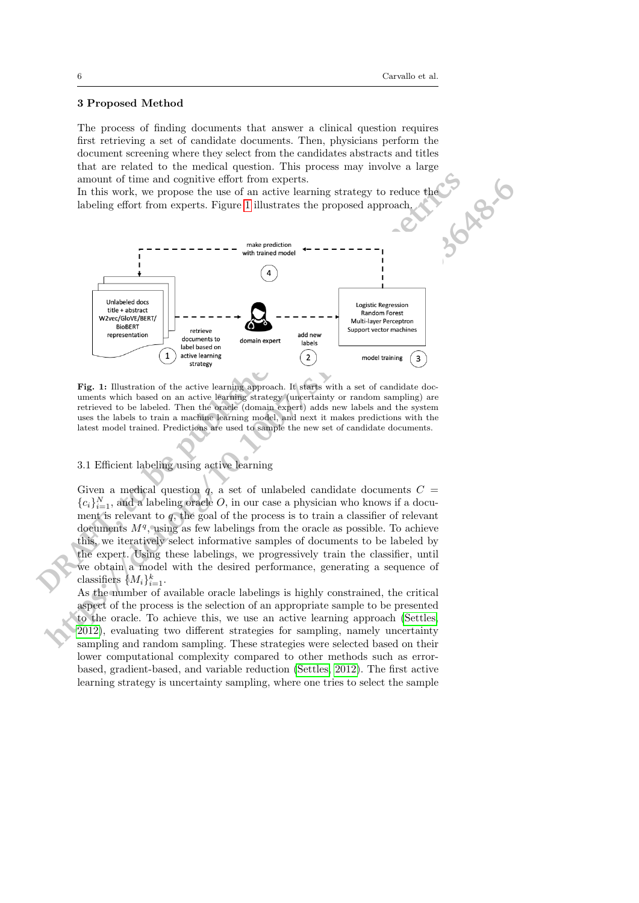#### 3 Proposed Method

The process of finding documents that answer a clinical question requires first retrieving a set of candidate documents. Then, physicians perform the document screening where they select from the candidates abstracts and titles amount of time and cognitive effort from experts.

<span id="page-5-0"></span>In this work, we propose the use of an active learning strategy to reduce the labeling effort from experts. Figure 1 illustrates the proposed approach.



Fig. 1: Illustration of the active learning approach. It starts with a set of candidate documents which based on an active learning strategy (uncertainty or random sampling) are retrieved to be labeled. Then the oracle (domain expert) adds new labels and the system uses the labels to train a machine learning model, and next it makes predictions with the latest model trained. Predictions are used to sample the new set of candidate documents.

<span id="page-5-1"></span>3.1 Efficient labeling using active learning

Given a medical question q, a set of unlabeled candidate documents  $C =$  ${c_i}_{i=1}^N$ , and a labeling oracle O, in our case a physician who knows if a document is relevant to  $q$ , the goal of the process is to train a classifier of relevant documents  $M<sup>q</sup>$ , using as few labelings from the oracle as possible. To achieve this, we iteratively select informative samples of documents to be labeled by the expert. Using these labelings, we progressively train the classifier, until we obtain a model with the desired performance, generating a sequence of classifiers  $\{M_i\}_{i=1}^k$ .

As the number of available oracle labelings is highly constrained, the critical aspect of the process is the selection of an appropriate sample to be presented to the oracle. To achieve this, we use an active learning approach (Settles, 2012), evaluating two different strategies for sampling, namely uncertainty sampling and random sampling. These strategies were selected based on their lower computational complexity compared to other methods such as errorbased, gradient-based, and variable reduction [\(Settles, 2012\)](#page-35-0). The first active learning strategy is uncertainty sampling, where one tries to select the sample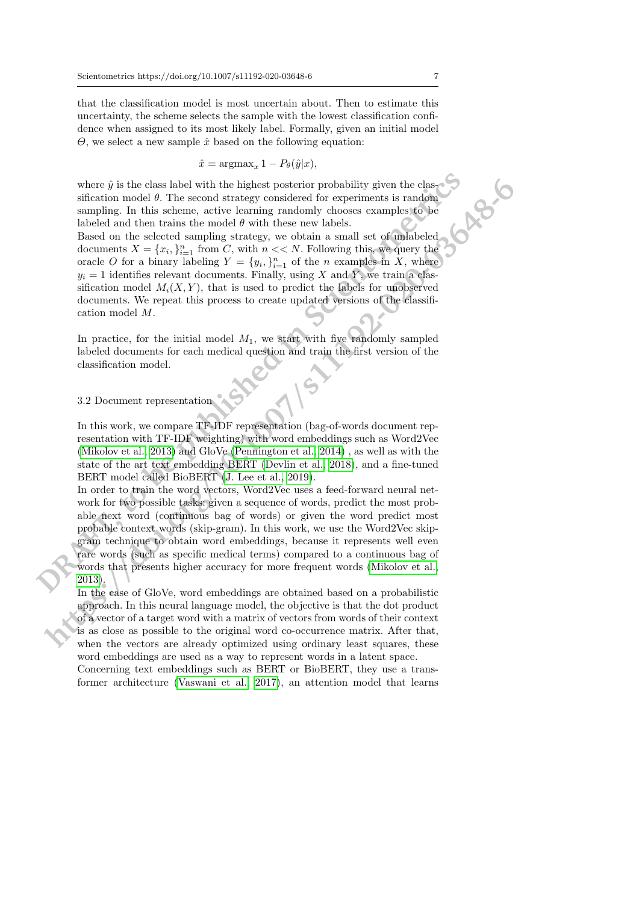that the classification model is most uncertain about. Then to estimate this uncertainty, the scheme selects the sample with the lowest classification confidence when assigned to its most likely label. Formally, given an initial model  $\Theta$ , we select a new sample  $\hat{x}$  based on the following equation:

$$
\hat{x} = \operatorname{argmax}_x 1 - P_{\theta}(\hat{y}|x),
$$

where  $\hat{y}$  is the class label with the highest posterior probability given the classification model  $\theta$ . The second strategy considered for experiments is random sampling. In this scheme, active learning randomly chooses examples to be labeled and then trains the model  $\theta$  with these new labels. Based on the selected sampling strategy, we obtain a small set of unlabeled documents  $X = \{x_i, \}_{i=1}^n$  from C, with  $n \ll N$ . Following this, we query the oracle O for a binary labeling  $Y = \{y_i\}_{i=1}^n$  of the n examples in X, where  $y_i = 1$  identifies relevant documents. Finally, using X and Y, we train a clas-

sification model  $M_i(X, Y)$ , that is used to predict the labels for unobserved documents. We repeat this process to create updated versions of the classification model M.

In practice, for the initial model  $M_1$ , we start with five randomly sampled labeled documents for each medical question and train the first version of the classification model.

# 3.2 Document representation

In this work, we compare TF-IDF representation (bag-of-words document representation with TF-IDF weighting) with word embeddings such as Word2Vec (Mikolov et al., 2013) and GloVe (Pennington et al., 2014) , as well as with the state of the art text embedding BERT (Devlin et al., 2018), and a fine-tuned BERT model called BioBERT (J. Lee et al., 2019).

where  $\hat{y}$  is the class label with the highest posterior probability given the classification model  $\theta$ . The second strategy considered for experiments is random sampling. In this scheme, active learning randomly choo where g is the class lable with the highest possibility given the elast-<br>sifecation model  $\theta$ . The second strategy considered for experiments is random<br>sampling. In this scheme, active teaming randomly choose examples to In order to train the word vectors, Word2Vec uses a feed-forward neural network for two possible tasks: given a sequence of words, predict the most probable next word (continuous bag of words) or given the word predict most probable context words (skip-gram). In this work, we use the Word2Vec skipgram technique to obtain word embeddings, because it represents well even rare words (such as specific medical terms) compared to a continuous bag of words that presents higher accuracy for more frequent words (Mikolov et al., 2013).

In the case of GloVe, word embeddings are obtained based on a probabilistic approach. In this neural language model, the objective is that the dot product of a vector of a target word with a matrix of vectors from words of their context is as close as possible to the original word co-occurrence matrix. After that, when the vectors are already optimized using ordinary least squares, these word embeddings are used as a way to represent words in a latent space.

Concerning text embeddings such as BERT or BioBERT, they use a transformer architecture [\(Vaswani et al., 2017\)](#page-35-4), an attention model that learns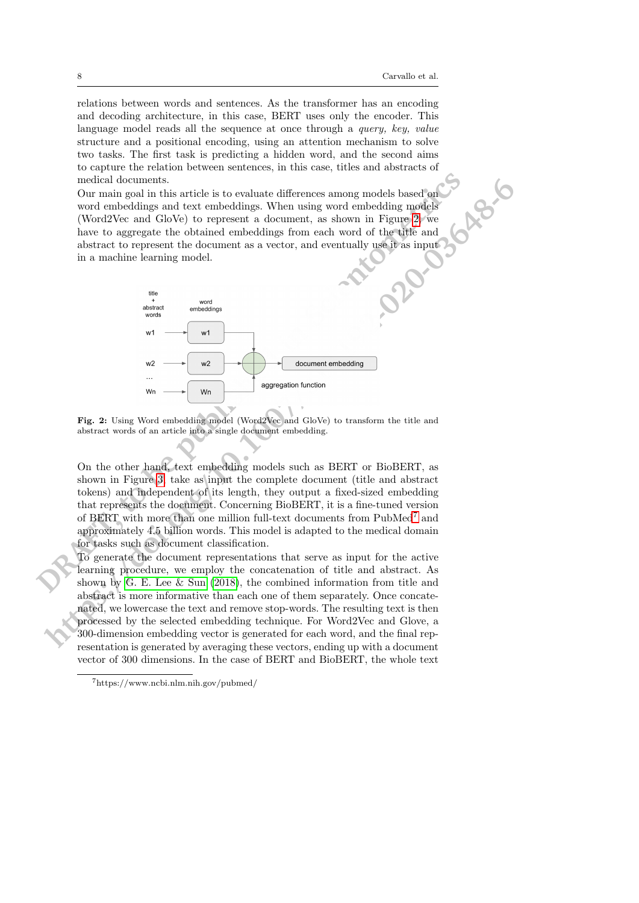relations between words and sentences. As the transformer has an encoding and decoding architecture, in this case, BERT uses only the encoder. This language model reads all the sequence at once through a *query*, key, value structure and a positional encoding, using an attention mechanism to solve two tasks. The first task is predicting a hidden word, and the second aims to capture the relation between sentences, in this case, titles and abstracts of medical documents.

<span id="page-7-0"></span>Our main goal in this article is to evaluate differences among models based on word embeddings and text embeddings. When using word embedding models (Word2Vec and GloVe) to represent a document, as shown in Figure 2, we have to aggregate the obtained embeddings from each word of the title and abstract to represent the document as a vector, and eventually use it as input in a machine learning model.





On the other hand, text embedding models such as BERT or BioBERT, as shown in Figure 3, take as input the complete document (title and abstract tokens) and independent of its length, they output a fixed-sized embedding that represents the document. Concerning BioBERT, it is a fine-tuned version of BERT with more than one million full-text documents from PubMed<sup>7</sup> and approximately 4.5 billion words. This model is adapted to the medical domain for tasks such as document classification.

To generate the document representations that serve as input for the active learning procedure, we employ the concatenation of title and abstract. As shown by G. E. Lee  $& Sun$  (2018), the combined information from title and abstract is more informative than each one of them separately. Once concatenated, we lowercase the text and remove stop-words. The resulting text is then processed by the selected embedding technique. For Word2Vec and Glove, a 300-dimension embedding vector is generated for each word, and the final representation is generated by averaging these vectors, ending up with a document vector of 300 dimensions. In the case of BERT and BioBERT, the whole text

<sup>7</sup>https://www.ncbi.nlm.nih.gov/pubmed/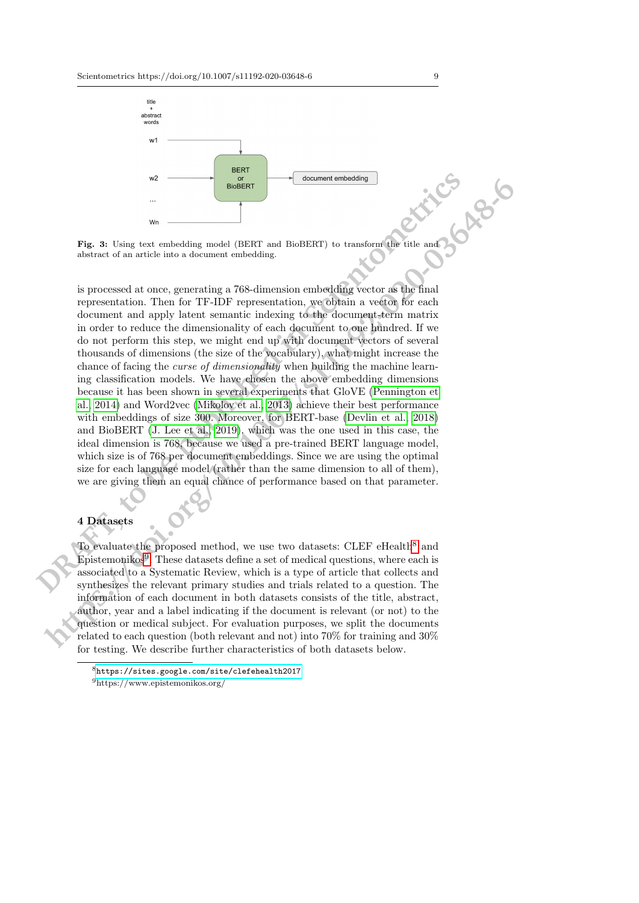<span id="page-8-0"></span>



**EXERENT THE CONDUGE CONDUGE TO THE CONDUGE TO THE CONDUCTS ARE SURFACT OF DESCRIPTION (THE STATE ARE SURFACT AND A DESCRIPTION (FOR A BOTH AND THE POSSIBLE TO THE LIFE TO THE LIFE TO THE DIFFERENT (I.E., the of the docum Example 1.1** converten[do](#page-0-0)ms we consider the consideration of the consideration of the consideration of the constrained between the consideration of the form of the constraints of the constraints in detection of the form o is processed at once, generating a 768-dimension embedding vector as the final representation. Then for TF-IDF representation, we obtain a vector for each document and apply latent semantic indexing to the document-term matrix in order to reduce the dimensionality of each document to one hundred. If we do not perform this step, we might end up with document vectors of several thousands of dimensions (the size of the vocabulary), what might increase the chance of facing the *curse of dimensionality* when building the machine learning classification models. We have chosen the above embedding dimensions because it has been shown in several experiments that GloVE (Pennington et al., 2014) and Word2vec (Mikolov et al., 2013) achieve their best performance with embeddings of size 300. Moreover, for BERT-base (Devlin et al., 2018) and BioBERT (J. Lee et al., 2019), which was the one used in this case, the ideal dimension is 768, because we used a pre-trained BERT language model, which size is of 768 per document embeddings. Since we are using the optimal size for each language model (rather than the same dimension to all of them), we are giving them an equal chance of performance based on that parameter.

#### 4 Datasets

To evaluate the proposed method, we use two datasets: CLEF eHealth<sup>8</sup> and Epistemonikos<sup>9</sup>. These datasets define a set of medical questions, where each is associated to a Systematic Review, which is a type of article that collects and synthesizes the relevant primary studies and trials related to a question. The information of each document in both datasets consists of the title, abstract, author, year and a label indicating if the document is relevant (or not) to the question or medical subject. For evaluation purposes, we split the documents related to each question (both relevant and not) into 70% for training and 30% for testing. We describe further characteristics of both datasets below.

<sup>8</sup><https://sites.google.com/site/clefehealth2017> <sup>9</sup>https://www.epistemonikos.org/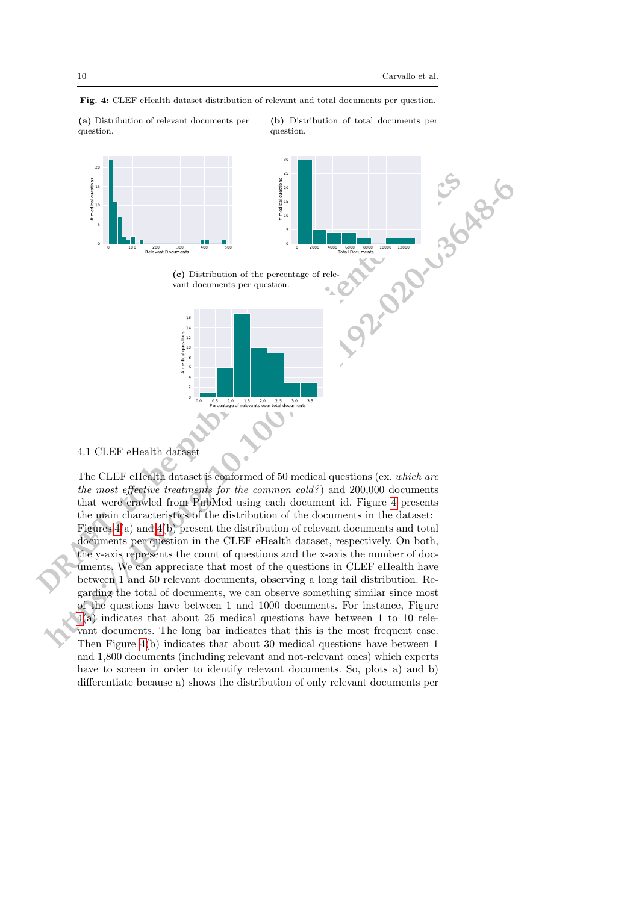Fig. 4: CLEF eHealth dataset distribution of relevant and total documents per question.

(a) Distribution of relevant documents per question.

(b) Distribution of total documents per question.



 $5 -$ 

# 4.1 CLEF eHealth dataset

The CLEF eHealth dataset is conformed of 50 medical questions (ex. which are the most effective treatments for the common cold? ) and 200,000 documents that were crawled from PubMed using each document id. Figure 4 presents the main characteristics of the distribution of the documents in the dataset: Figures 4(a) and 4(b) present the distribution of relevant documents and total documents per question in the CLEF eHealth dataset, respectively. On both, the y-axis represents the count of questions and the x-axis the number of documents. We can appreciate that most of the questions in CLEF eHealth have between 1 and 50 relevant documents, observing a long tail distribution. Regarding the total of documents, we can observe something similar since most of the questions have between 1 and 1000 documents. For instance, Figure 4(a) indicates that about 25 medical questions have between 1 to 10 relevant documents. The long bar indicates that this is the most frequent case. Then Figure 4(b) indicates that about 30 medical questions have between 1 and 1,800 documents (including relevant and not-relevant ones) which experts have to screen in order to identify relevant documents. So, plots a) and b) differentiate because a) shows the distribution of only relevant documents per

0 0.5 1.0 1.5 2.0 2.5 3.0 3.5<br>Percentage of relevants over total documents

<span id="page-9-0"></span> $\sim$  $2 4 -$ 6 — 8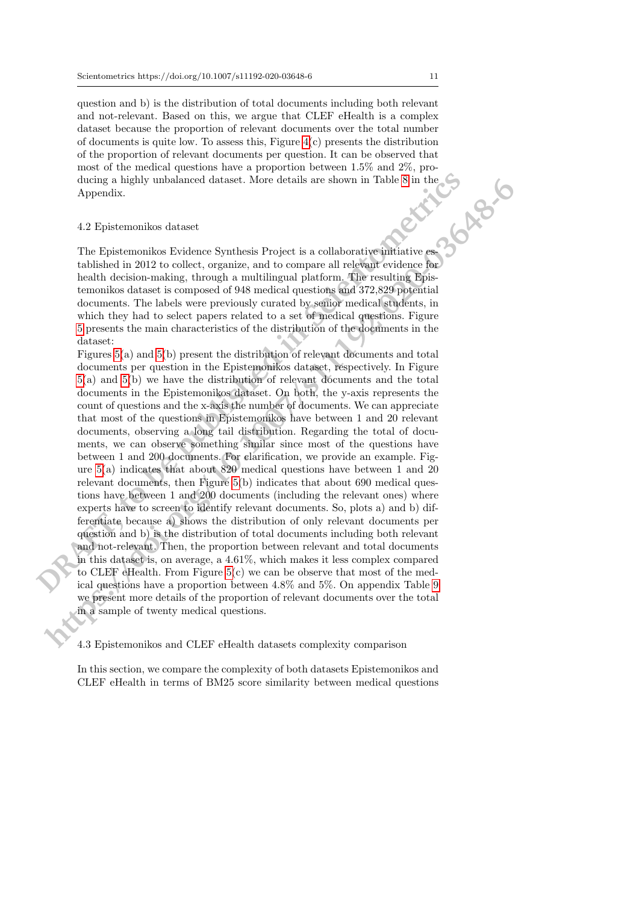question and b) is the distribution of total documents including both relevant and not-relevant. Based on this, we argue that CLEF eHealth is a complex dataset because the proportion of relevant documents over the total number of documents is quite low. To assess this, Figure  $4(c)$  presents the distribution % of the proportion of relevant documents per question. It can be observed that<br>most of the medical questions have a proportion between 1.5% and 2%, pro-<br>ducing a highly unbalanced dataset. More details are shown in Table most of the medical questions have a proportion between 1.5% and 2%, producing a highly unbalanced dataset. More details are shown in Table 8 in the Appendix.

#### 4.2 Epistemonikos dataset

The Epistemonikos Evidence Synthesis Project is a collaborative initiative established in 2012 to collect, organize, and to compare all relevant evidence for health decision-making, through a multilingual platform. The resulting Epistemonikos dataset is composed of 948 medical questions and 372,829 potential documents. The labels were previously curated by senior medical students, in which they had to select papers related to a set of medical questions. Figure 5 presents the main characteristics of the distribution of the documents in the dataset:

ducing a highly unbalanced dataset. More details are shown in Table 8 in the Appendix.<br>
4.2 Epistemonikos dataset<br>
The Epistemonikos dataset<br>
The Epistemonikos dataset<br>
The Epistemonikos Evidence Synthesis Project is a co doing a highly unbalanced dataset. More details are shown in Table 8 in the Apochaix experiments and the system of the presentation of the properties of the Figstermonikas Evidence Synthesis Project is a collaborating-inf Figures 5(a) and 5(b) present the distribution of relevant documents and total documents per question in the Epistemonikos dataset, respectively. In Figure 5(a) and 5(b) we have the distribution of relevant documents and the total documents in the Epistemonikos dataset. On both, the y-axis represents the count of questions and the x-axis the number of documents. We can appreciate that most of the questions in Epistemonikos have between 1 and 20 relevant documents, observing a long tail distribution. Regarding the total of documents, we can observe something similar since most of the questions have between 1 and 200 documents. For clarification, we provide an example. Figure 5(a) indicates that about 820 medical questions have between 1 and 20 relevant documents, then Figure 5(b) indicates that about 690 medical questions have between 1 and 200 documents (including the relevant ones) where experts have to screen to identify relevant documents. So, plots a) and b) differentiate because a) shows the distribution of only relevant documents per question and b) is the distribution of total documents including both relevant and not-relevant. Then, the proportion between relevant and total documents in this dataset is, on average, a 4.61%, which makes it less complex compared to CLEF eHealth. From Figure  $5(c)$  we can be observe that most of the medical questions have a proportion between 4.8% and 5%. On appendix Table 9 we present more details of the proportion of relevant documents over the total in a sample of twenty medical questions.

4.3 Epistemonikos and CLEF eHealth datasets complexity comparison

In this section, we compare the complexity of both datasets Epistemonikos and CLEF eHealth in terms of BM25 score similarity between medical questions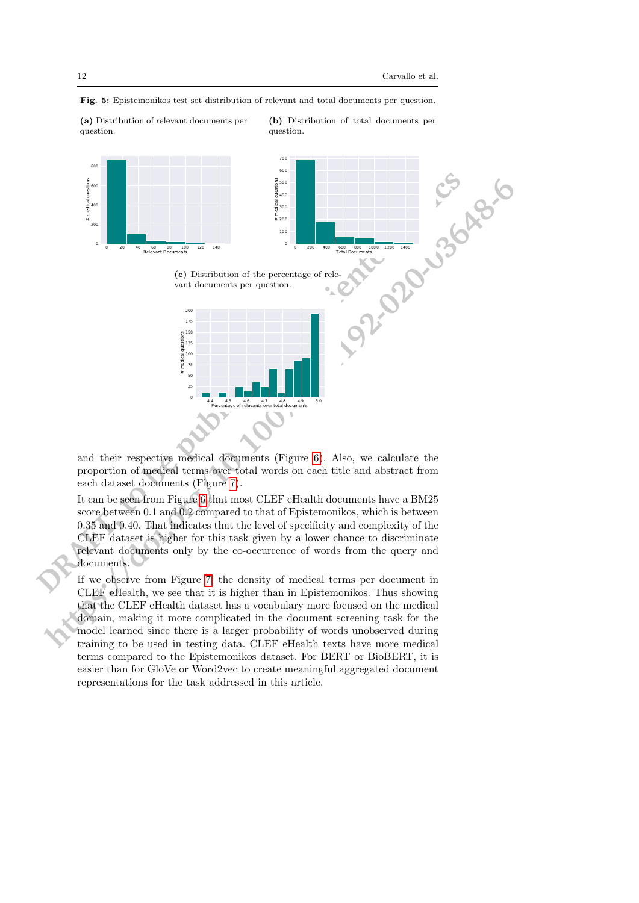Fig. 5: Epistemonikos test set distribution of relevant and total documents per question.

 --

(a) Distribution of relevant documents per question.



<span id="page-11-0"></span>



and their respective medical documents (Figure 6). Also, we calculate the proportion of medical terms over total words on each title and abstract from each dataset documents (Figure 7).

It can be seen from Figure 6 that most CLEF eHealth documents have a BM25 score between 0.1 and 0.2 compared to that of Epistemonikos, which is between 0.35 and 0.40. That indicates that the level of specificity and complexity of the CLEF dataset is higher for this task given by a lower chance to discriminate relevant documents only by the co-occurrence of words from the query and documents.

If we observe from Figure 7, the density of medical terms per document in CLEF eHealth, we see that it is higher than in Epistemonikos. Thus showing that the CLEF eHealth dataset has a vocabulary more focused on the medical domain, making it more complicated in the document screening task for the model learned since there is a larger probability of words unobserved during training to be used in testing data. CLEF eHealth texts have more medical terms compared to the Epistemonikos dataset. For BERT or BioBERT, it is easier than for GloVe or Word2vec to create meaningful aggregated document representations for the task addressed in this article.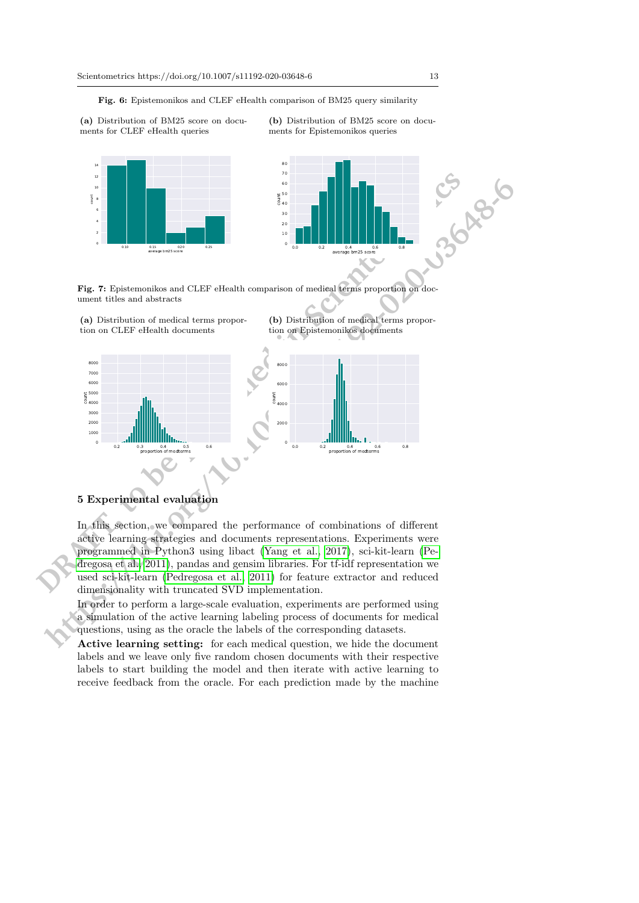Fig. 6: Epistemonikos and CLEF eHealth comparison of BM25 query similarity

(a) Distribution of BM25 score on documents for CLEF eHealth queries

<span id="page-12-0"></span>



<span id="page-12-1"></span>

Fig. 7: Epistemonikos and CLEF eHealth comparison of medical terms proportion on document titles and abstracts



#### 5 Experimental evaluation

In this section, we compared the performance of combinations of different active learning strategies and documents representations. Experiments were programmed in Python3 using libact (Yang et al., 2017), sci-kit-learn (Pedregosa et al., 2011), pandas and gensim libraries. For tf-idf representation we used sci-kit-learn (Pedregosa et al., 2011) for feature extractor and reduced dimensionality with truncated SVD implementation.

In order to perform a large-scale evaluation, experiments are performed using a simulation of the active learning labeling process of documents for medical questions, using as the oracle the labels of the corresponding datasets.

Active learning setting: for each medical question, we hide the document labels and we leave only five random chosen documents with their respective labels to start building the model and then iterate with active learning to receive feedback from the oracle. For each prediction made by the machine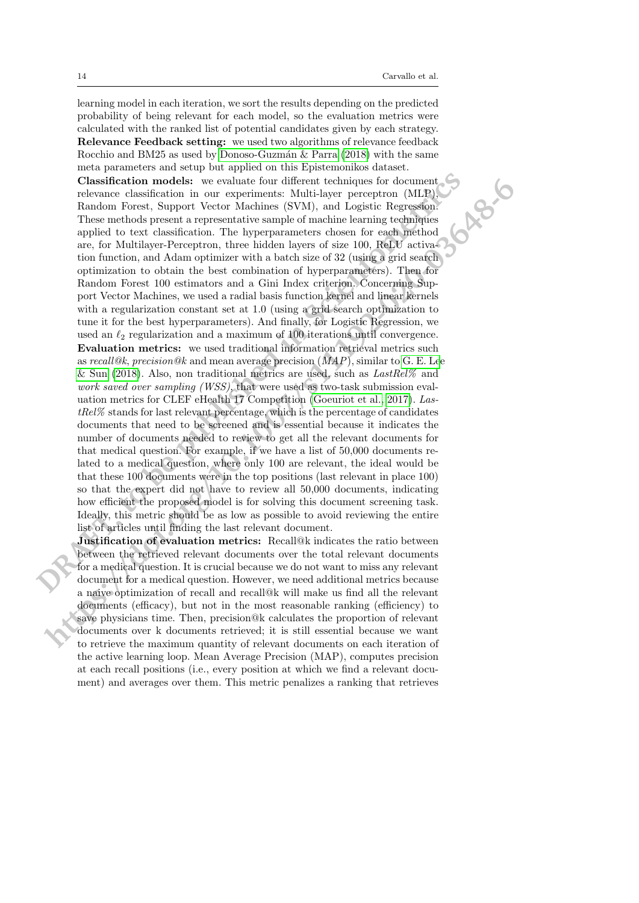**Classification models:** we evaluate four different techniques for document, relaxion of the constrained classification in our experiments: Multi-layer perceptron (MLP) and Logistic Regressions applied to text classificat **Classification models:** we evaluate for the different technique for documents. Not a forest perception (MLP). Random Forest Spyred Vector Mechives (SVM), and Logistic Regension. The examethod spressed as particle with th learning model in each iteration, we sort the results depending on the predicted probability of being relevant for each model, so the evaluation metrics were calculated with the ranked list of potential candidates given by each strategy. Relevance Feedback setting: we used two algorithms of relevance feedback Rocchio and BM25 as used by Donoso-Guzmán & Parra [\(2018\)](#page-32-2) with the same meta parameters and setup but applied on this Epistemonikos dataset. Classification models: we evaluate four different techniques for document relevance classification in our experiments: Multi-layer perceptron (MLP), Random Forest, Support Vector Machines (SVM), and Logistic Regression. These methods present a representative sample of machine learning techniques applied to text classification. The hyperparameters chosen for each method are, for Multilayer-Perceptron, three hidden layers of size 100, ReLU activation function, and Adam optimizer with a batch size of 32 (using a grid search optimization to obtain the best combination of hyperparameters). Then for Random Forest 100 estimators and a Gini Index criterion. Concerning Support Vector Machines, we used a radial basis function kernel and linear kernels with a regularization constant set at 1.0 (using a grid search optimization to tune it for the best hyperparameters). And finally, for Logistic Regression, we used an  $\ell_2$  regularization and a maximum of 100 iterations until convergence. Evaluation metrics: we used traditional information retrieval metrics such as recall@k, precision@k and mean average precision  $(MAP)$ , similar to G. E. Lee & Sun (2018). Also, non traditional metrics are used, such as LastRel% and work saved over sampling (WSS), that were used as two-task submission evaluation metrics for CLEF eHealth 17 Competition (Goeuriot et al., 2017). Las $tRel\%$  stands for last relevant percentage, which is the percentage of candidates documents that need to be screened and is essential because it indicates the number of documents needed to review to get all the relevant documents for that medical question. For example, if we have a list of 50,000 documents related to a medical question, where only 100 are relevant, the ideal would be that these 100 documents were in the top positions (last relevant in place 100) so that the expert did not have to review all 50,000 documents, indicating how efficient the proposed model is for solving this document screening task. Ideally, this metric should be as low as possible to avoid reviewing the entire list of articles until finding the last relevant document.

Justification of evaluation metrics: Recall@k indicates the ratio between between the retrieved relevant documents over the total relevant documents for a medical question. It is crucial because we do not want to miss any relevant document for a medical question. However, we need additional metrics because a naive optimization of recall and recall@k will make us find all the relevant documents (efficacy), but not in the most reasonable ranking (efficiency) to save physicians time. Then, precision@k calculates the proportion of relevant documents over k documents retrieved; it is still essential because we want to retrieve the maximum quantity of relevant documents on each iteration of the active learning loop. Mean Average Precision (MAP), computes precision at each recall positions (i.e., every position at which we find a relevant document) and averages over them. This metric penalizes a ranking that retrieves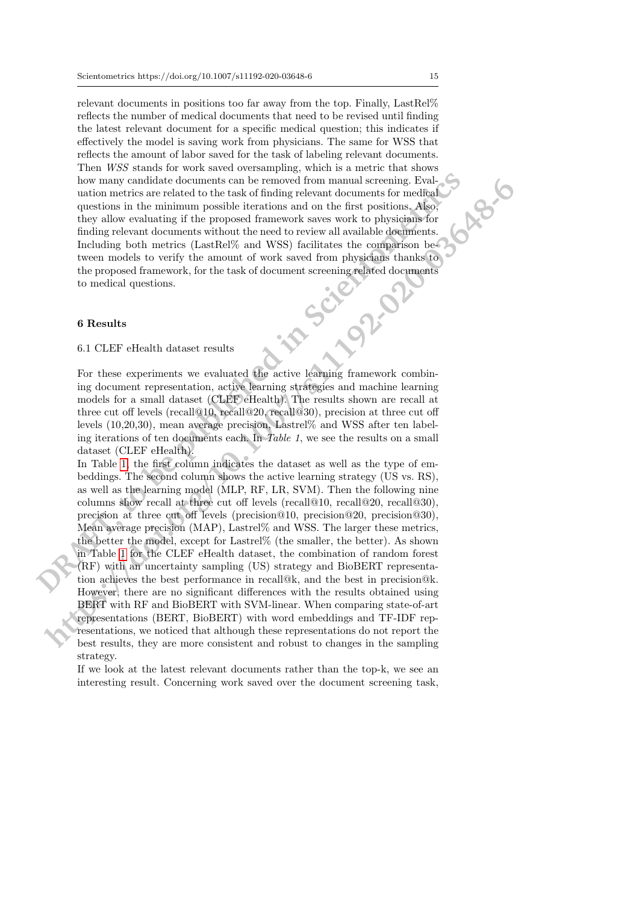relevant documents in positions too far away from the top. Finally, LastRel% reflects the number of medical documents that need to be revised until finding the latest relevant document for a specific medical question; this indicates if effectively the model is saving work from physicians. The same for WSS that reflects the amount of labor saved for the task of labeling relevant documents. Then WSS stands for work saved oversampling, which is a metric that shows how many candidate documents can be removed from manual screening. Evaluation metrics are related to the task of finding relevant documents for medical questions in the minimum possible iterations and on the first positions. Also, they allow evaluating if the proposed framework saves work to physicians for finding relevant documents without the need to review all available documents. Including both metrics (LastRel% and WSS) facilitates the comparison between models to verify the amount of work saved from physicians thanks to the proposed framework, for the task of document screening related documents to medical questions.

#### 6 Results

#### 6.1 CLEF eHealth dataset results

For these experiments we evaluated the active learning framework combining document representation, active learning strategies and machine learning models for a small dataset (CLEF eHealth). The results shown are recall at three cut off levels (recall@10, recall@20, recall@30), precision at three cut off levels (10,20,30), mean average precision, Lastrel% and WSS after ten labeling iterations of ten documents each. In Table 1, we see the results on a small dataset (CLEF eHealth).

how many candidate documents can be removed from manual screening. Evaluation metrics are related to the bask of finding relevant documents for medical to the subscribing of the proposed framework saves work to physician how many candidate documents can be removed from manual screening. Real-<br>quasibons in the minimum possible iterations and u the first positions. Also, they allow evaluating if the proposed framework sues work to physician In Table 1, the first column indicates the dataset as well as the type of embeddings. The second column shows the active learning strategy (US vs. RS), as well as the learning model (MLP, RF, LR, SVM). Then the following nine columns show recall at three cut off levels (recall@10, recall@20, recall@30), precision at three cut off levels (precision@10, precision@20, precision@30), Mean average precision (MAP), Lastrel% and WSS. The larger these metrics, the better the model, except for Lastrel% (the smaller, the better). As shown in Table 1 for the CLEF eHealth dataset, the combination of random forest (RF) with an uncertainty sampling (US) strategy and BioBERT representation achieves the best performance in recall@k, and the best in precision@k. However, there are no significant differences with the results obtained using BERT with RF and BioBERT with SVM-linear. When comparing state-of-art representations (BERT, BioBERT) with word embeddings and TF-IDF representations, we noticed that although these representations do not report the best results, they are more consistent and robust to changes in the sampling strategy.

If we look at the latest relevant documents rather than the top-k, we see an interesting result. Concerning work saved over the document screening task,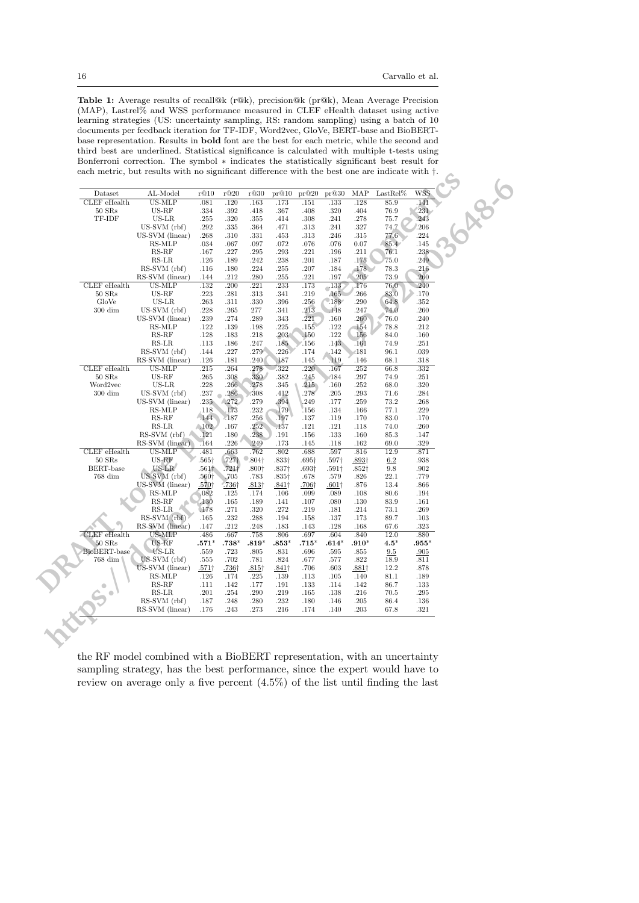<span id="page-15-0"></span>Table 1: Average results of recall@k (r@k), precision@k (pr@k), Mean Average Precision (MAP), Lastrel% and WSS performance measured in CLEF eHealth dataset using active learning strategies (US: uncertainty sampling, RS: random sampling) using a batch of 10 documents per feedback iteration for TF-IDF, Word2vec, GloVe, BERT-base and BioBERTbase representation. Results in bold font are the best for each metric, while the second and Bonferroni correction. The symbol ∗ indicates the statistically significant best result for each metric, but results with no significant difference with the best one are indicate with †.

| Dataset             | AL-Model                        | r@10                   | r@20              | r@30              | pr@10               | pr@20         | pr@30         | MAP          | LastRel%     | <b>WSS</b>             | <b>6 AB</b> |
|---------------------|---------------------------------|------------------------|-------------------|-------------------|---------------------|---------------|---------------|--------------|--------------|------------------------|-------------|
| CLEF eHealth        | US-MLP                          | .081                   | .120              | .163              | .173                | .151          | .133          | .128         | 85.9         | .141                   |             |
| $50$ $S\mathrm{Rs}$ | $US-RF$                         | .334                   | .392              | .418              | .367                | .408          | .320          | .404         | 76.9         | $\langle .231 \rangle$ |             |
| TF-IDF              | $US-LR$                         | .255                   | .320              | .355              | .414                | .308          | .241          | .278         | 75.7         | .243                   |             |
|                     | $US-SVM$ $(rbf)$                | .292                   | .335              | .364              | .471                | .313          | .241          | .327         | 74.7         | .206                   |             |
|                     | US-SVM (linear)                 | .268                   | .310              | .331              | .453                | .313          | .246          | .315         | 77.6         | .224                   |             |
|                     | RS-MLP<br>$RS-RF$               | .034<br>.167           | .067<br>.227      | .097<br>.295      | .072<br>.293        | .076<br>.221  | .076<br>.196  | 0.07         | 85.4<br>76.1 | $.145$<br>.238         |             |
|                     | $RS-LR$                         | .126                   | .189              | .242              | .238                | .201          | .187          | .211<br>.175 | 75.0         | .249                   |             |
|                     | RS-SVM (rbf)                    | .116                   | .180              | .224              | .255                | .207          | .184          | .178         | 78.3         | 216                    |             |
|                     | RS-SVM (linear)                 | .144                   | .212              | .280              | .255                | .221          | .197          | .205         | 73.9         | .260                   |             |
| CLEF eHealth        | US-MLP                          | .132                   | .200              | .221              | .233                | .173          | $^{-133}$     | 176          | 76.0         | .240                   |             |
| $50$ SRs            | $US-RF$                         | .223                   | .281              | .313              | .341                | .219          | .165          | .266         | 83.0         | .170                   |             |
| GloVe               | $US-LR$                         | .263                   | .311              | .330              | .396                | .256          | .188          | .290         | 64.8         | .352                   |             |
| $300 \dim$          | US-SVM (rbf)                    | .228                   | .265              | 277               | .341                | .213          | .148          | .247         | 74.0         | .260                   |             |
|                     | US-SVM (linear)                 | .239                   | .274              | .289              | .343                | .221          | .160          | .260         | 76.0         | .240                   |             |
|                     | RS-MLP                          | .122                   | .139              | .198              | .225                | .155          | .122          | .154         | 78.8         | .212                   |             |
|                     | $RS-RF$<br>$RS-LR$              | .128<br>.113           | .183<br>.186      | .218<br>.247      | .203<br>.185        | .150<br>.156  | .122<br>.143  | .156<br>.161 | 84.0<br>74.9 | .160<br>.251           |             |
|                     | RS-SVM (rbf)                    | .144                   | .227              | .279              | .226                | .174          | .142          | .181         | 96.1         | .039                   |             |
|                     | RS-SVM (linear)                 | .126                   | .181              | .240              | .187                | .145          | .119          | .146         | 68.1         | .318                   |             |
| <b>CLEF</b> eHealth | US-MLP                          | .215                   | .264              | .278              | .322                | .220          | .167          | .252         | 66.8         | .332                   |             |
| $50$ SRs            | $US-RF$                         | .265                   | .308              | 330               | .382                | .245          | .184          | .297         | 74.9         | .251                   |             |
| Word2vec            | $US-LR$                         | .228                   | .266              | .278              | .345                | .215          | .160          | .252         | 68.0         | .320                   |             |
| $300 \dim$          | US-SVM (rbf)                    | .237                   | .286              | .308              | .412                | .278          | .205          | .293         | 71.6         | .284                   |             |
|                     | US-SVM (linear)                 | .235                   | .272              | .279              | .394                | .249          | .177          | .259         | 73.2         | .268                   |             |
|                     | RS-MLP                          | .118                   | 173               | .232              | $.179\,$            | .156          | .134          | .166         | 77.1         | .229                   |             |
|                     | $RS-RF$<br>$RS-LR$              | .144                   | .187<br>.167      | .256<br>.252      | .197<br>.137        | .137<br>.121  | .119<br>.121  | .170         | 83.0<br>74.0 | .170<br>.260           |             |
|                     | RS-SVM (rbf)                    | $\triangle 102$<br>121 | .180              | .238              | .191                | .156          | .133          | .118<br>.160 | 85.3         | .147                   |             |
|                     | RS-SVM (linear)                 | .164                   | .226              | .249              | .173                | .145          | .118          | .162         | 69.0         | .329                   |             |
| <b>CLEF</b> eHealth | US-MLP                          | .481                   | .663              | .762              | .802                | .688          | .597          | .816         | 12.9         | .871                   |             |
| 50 SRs              | $US-RF$                         | $.565\dagger$          | .727 <sub>1</sub> | '.804†            | $.833\dagger$       | $.695\dagger$ | .597†         | <u>.893†</u> | 6.2          | .938                   |             |
| <b>BERT-base</b>    | $US-LR$                         | $.561\dagger$          | .721 <sub>†</sub> | .800 <sub>†</sub> | .837 <sub>1</sub>   | $.693\dagger$ | $.591\dagger$ | .852†        | $9.8\,$      | .902                   |             |
| 768 dim             | US-SVM (rbf)                    | .560 <sub>†</sub>      | .705              | .783              | $.835\dagger$       | .678          | .579          | .826         | 22.1         | .779                   |             |
|                     | US-SVM (linear)                 | <u>.570†</u>           | .736 <sub>†</sub> | $.813+$           | <u>.841</u> †       | <u>.706†</u>  | <u>.601</u> † | .876         | 13.4         | .866                   |             |
|                     | RS-MLP                          | .082                   | .125              | .174              | .106                | .099          | .089          | .108         | 80.6         | .194                   |             |
|                     | $RS-RF$                         | .130                   | .165              | .189              | .141                | .107          | .080          | .130         | 83.9         | .161                   |             |
|                     | $RS-LR$<br>RS-SVM (rbf)         | .178<br>.165           | .271<br>.232      | .320<br>.288      | .272<br>.194        | .219<br>.158  | .181<br>.137  | .214<br>.173 | 73.1<br>89.7 | .269<br>.103           |             |
|                     | RS-SVM (linear)                 | .147                   | .212              | .248              | .183                | .143          | .128          | .168         | 67.6         | .323                   |             |
| CLEF eHealth        | US-MLP                          | .486                   | .667              | .758              | .806                | .697          | .604          | .840         | 12.0         | .880                   |             |
| $50$ SRs            | US-RF                           | $.571^*$               | $.738^*$          | $.819*$           | $.853*$             | $.715^*$      | $.614*$       | $.910^{*}$   | $4.5*$       | $.955^*$               |             |
| BioBERT-base        | US-LR                           | .559                   | .723              | .805              | .831                | .696          | .595          | .855         | 9.5          | .905                   |             |
| $768\,\dim$         | US-SVM (rbf)                    | .555                   | .702              | .781              | .824                | .677          | .577          | .822         | 18.9         | .811                   |             |
|                     | US-SVM (linear)                 | <u>.571</u> †          | $.736\dagger$     | $.815+$           | $.841$ <sup>+</sup> | .706          | .603          | <u>.881†</u> | 12.2         | .878                   |             |
|                     | RS-MLP                          | .126                   | .174              | .225              | .139                | .113          | .105          | .140         | 81.1         | .189                   |             |
| $\bullet$           | $RS-RF$                         | .111                   | .142              | .177              | .191                | .133          | .114          | .142         | 86.7         | .133                   |             |
|                     | $RS-LR$                         | .201                   | .254              | .290              | .219                | $.165\,$      | .138          | .216         | 70.5         | .295                   |             |
|                     | RS-SVM (rbf)<br>RS-SVM (linear) | .187<br>.176           | .248<br>.243      | .280<br>.273      | .232<br>.216        | .180<br>.174  | .146<br>.140  | .205<br>.203 | 86.4<br>67.8 | .136<br>.321           |             |
|                     |                                 |                        |                   |                   |                     |               |               |              |              |                        |             |

sampling strategy, has the best performance, since the expert would have to review on average only a five percent (4.5%) of the list until finding the last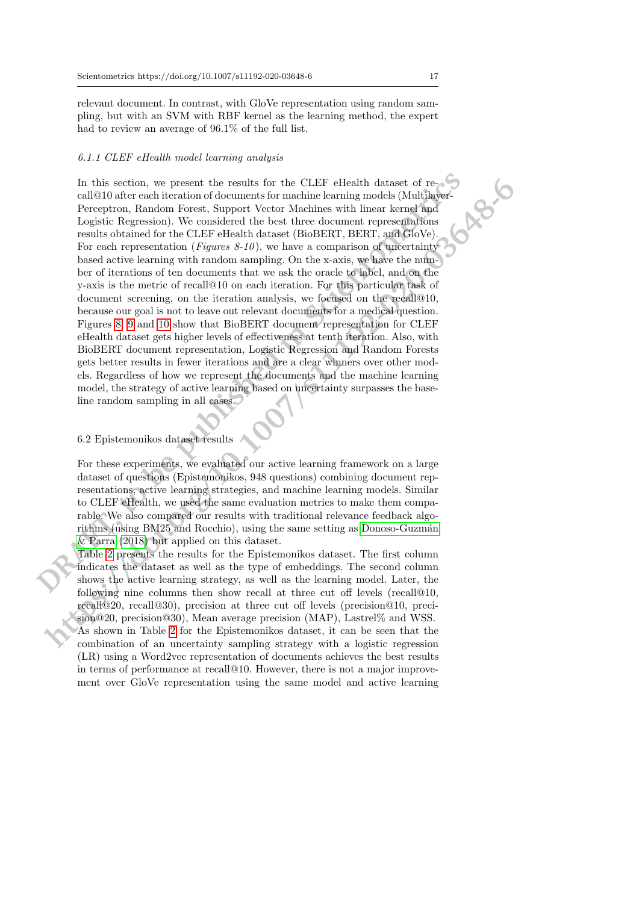relevant document. In contrast, with GloVe representation using random sampling, but with an SVM with RBF kernel as the learning method, the expert had to review an average of 96.1% of the full list.

#### 6.1.1 CLEF eHealth model learning analysis

In this section, we present the results for the CLEF eHealth dataset of re-calls<br>(2) 01 after each iteration of documents for machine learning models (Multilayer-<br>Decreptron, Random Forest, Support Vector Machines with li In this section, we present the results for the CLEF critical dataset of respective. Ran[do](#page-32-2)m Forest, Support Vector Machine with linear kined Kyalicky-Peceptron, Random Forest, Support Vector Machine with linear keral Fore In this section, we present the results for the CLEF eHealth dataset of recall@10 after each iteration of documents for machine learning models (Multilayer-Perceptron, Random Forest, Support Vector Machines with linear kernel and Logistic Regression). We considered the best three document representations results obtained for the CLEF eHealth dataset (BioBERT, BERT, and GloVe). For each representation (*Figures 8-10*), we have a comparison of uncertainty based active learning with random sampling. On the x-axis, we have the number of iterations of ten documents that we ask the oracle to label, and on the y-axis is the metric of recall@10 on each iteration. For this particular task of document screening, on the iteration analysis, we focused on the recall@10, because our goal is not to leave out relevant documents for a medical question. Figures 8, 9 and 10 show that BioBERT document representation for CLEF eHealth dataset gets higher levels of effectiveness at tenth iteration. Also, with BioBERT document representation, Logistic Regression and Random Forests gets better results in fewer iterations and are a clear winners over other models. Regardless of how we represent the documents and the machine learning model, the strategy of active learning based on uncertainty surpasses the baseline random sampling in all cases.

# 6.2 Epistemonikos dataset results

For these experiments, we evaluated our active learning framework on a large dataset of questions (Epistemonikos, 948 questions) combining document representations, active learning strategies, and machine learning models. Similar to CLEF eHealth, we used the same evaluation metrics to make them comparable. We also compared our results with traditional relevance feedback algorithms (using  $BM25$  and Rocchio), using the same setting as Donoso-Guzmán & Parra (2018) but applied on this dataset.

Table 2 presents the results for the Epistemonikos dataset. The first column indicates the dataset as well as the type of embeddings. The second column shows the active learning strategy, as well as the learning model. Later, the following nine columns then show recall at three cut off levels (recall@10, recall@20, recall@30), precision at three cut off levels (precision@10, precision@20, precision@30), Mean average precision (MAP), Lastrel% and WSS. As shown in Table 2 for the Epistemonikos dataset, it can be seen that the combination of an uncertainty sampling strategy with a logistic regression (LR) using a Word2vec representation of documents achieves the best results in terms of performance at recall@10. However, there is not a major improvement over GloVe representation using the same model and active learning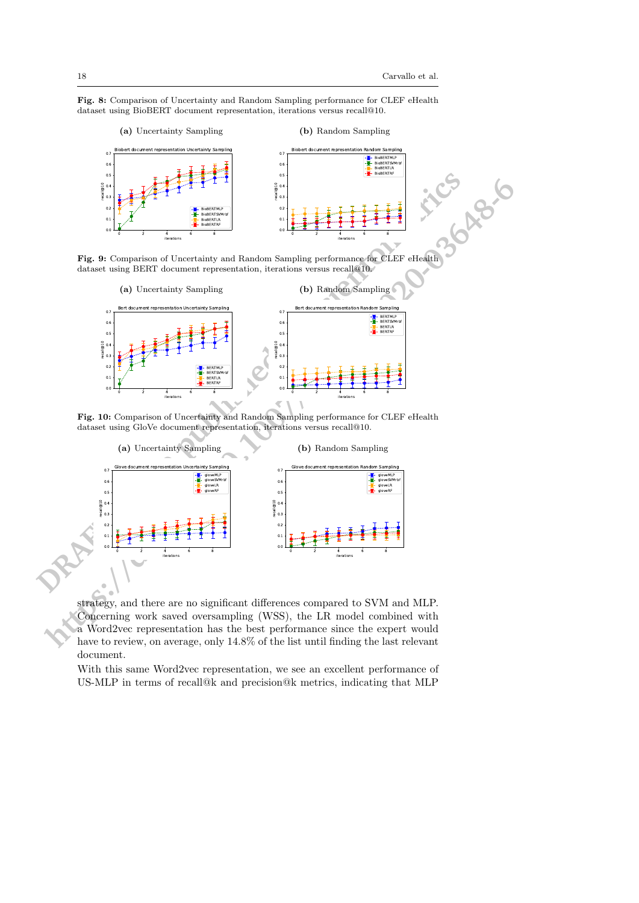Fig. 8: Comparison of Uncertainty and Random Sampling performance for CLEF eHealth dataset using BioBERT document representation, iterations versus recall@10.

<span id="page-17-0"></span>

Fig. 9: Comparison of Uncertainty and Random Sampling performance for CLEF eHealth dataset using BERT document representation, iterations versus recall@10.

<span id="page-17-1"></span>

<span id="page-17-2"></span>Fig. 10: Comparison of Uncertainty and Random Sampling performance for CLEF eHealth dataset using GloVe document representation, iterations versus recall@10.



strategy, and there are no significant differences compared to SVM and MLP. Concerning work saved oversampling (WSS), the LR model combined with a Word2vec representation has the best performance since the expert would have to review, on average, only 14.8% of the list until finding the last relevant document.

With this same Word2vec representation, we see an excellent performance of US-MLP in terms of recall@k and precision@k metrics, indicating that MLP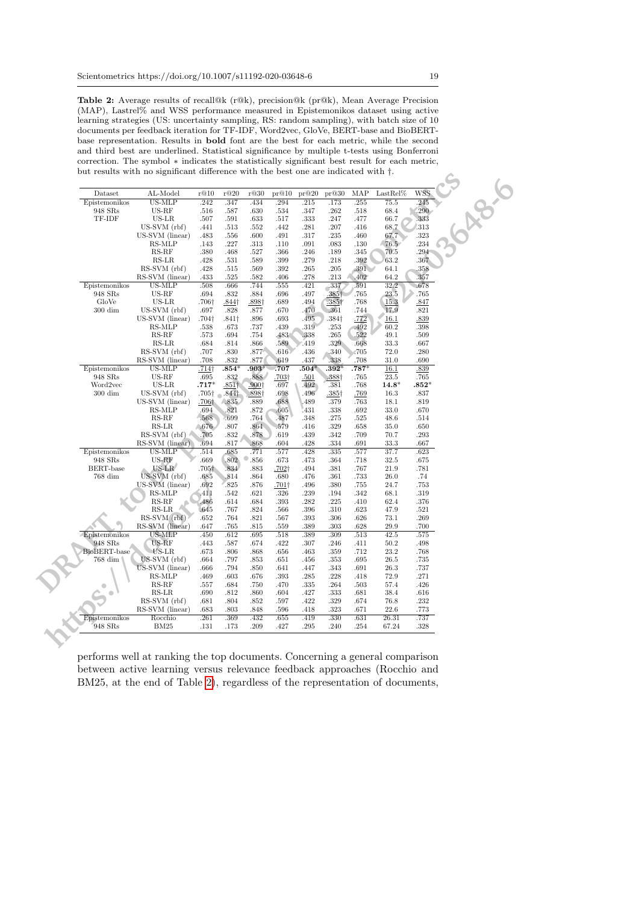<span id="page-18-0"></span>Table 2: Average results of recall@k (r@k), precision@k (pr@k), Mean Average Precision (MAP), Lastrel% and WSS performance measured in Epistemonikos dataset using active learning strategies (US: uncertainty sampling, RS: random sampling), with batch size of 10 documents per feedback iteration for TF-IDF, Word2vec, GloVe, BERT-base and BioBERTbase representation. Results in bold font are the best for each metric, while the second correction. The symbol ∗ indicates the statistically significant best result for each metric, but results with no significant difference with the best one are indicated with †.

|                    |                                                                                             |                     |               |                   |                     |              |                   |                      | correction. The symbol $*$ indicates the statistically significant best result for each metric, |                   |      |
|--------------------|---------------------------------------------------------------------------------------------|---------------------|---------------|-------------------|---------------------|--------------|-------------------|----------------------|-------------------------------------------------------------------------------------------------|-------------------|------|
|                    | but results with no significant difference with the best one are indicated with $\dagger$ . |                     |               |                   |                     |              |                   |                      |                                                                                                 |                   |      |
|                    |                                                                                             |                     |               |                   |                     |              |                   |                      |                                                                                                 |                   | ABIC |
| Dataset            | AL-Model                                                                                    | r@10                | r@20          | r@30              | pr@10               | pr@20        | pr@30             | MAP                  | $\operatorname{LastRel\%}$                                                                      | <b>WSS</b>        |      |
| Epistemonikos      | US-MLP                                                                                      | .242                | .347          | .434              | .294                | .215         | .173              | .255                 | 75.5                                                                                            | 245               |      |
| 948 SRs            | $US-RF$                                                                                     | .516                | .587          | .630              | .534                | .347         | .262              | .518                 | 68.4                                                                                            | .290 <sub>2</sub> |      |
| TF-IDF             | $US-LR$                                                                                     | .507                | .591          | .633              | .517                | .333         | .247              | .477                 | 66.7                                                                                            | .333              |      |
|                    | US-SVM (rbf)                                                                                | .441                | .513          | .552              | .442                | .281         | .207              | .416                 | $68.7\,$                                                                                        | .313              |      |
|                    | US-SVM (linear)                                                                             | .483                | .556          | .600              | .491                | .317         | .235              | .460                 | 67.7                                                                                            | .323              |      |
|                    | RS-MLP                                                                                      | .143                | .227          | .313              | .110                | .091         | .083              | .130                 | 76.5                                                                                            | .234              |      |
|                    | $RS-RF$                                                                                     | .380                | .468          | .527              | .366                | .246         | .189              | .345                 | 70.5                                                                                            | .294              |      |
|                    | $RS-LR$                                                                                     | .428                | .531          | .589              | .399                | .279         | .218              | .392                 | 63.2                                                                                            | .367              |      |
|                    | RS-SVM (rbf)                                                                                | .428                | .515          | .569              | .392                | .265         | .205              | $.391$ $\rightarrow$ | 64.1                                                                                            | 358               |      |
|                    | RS-SVM (linear)                                                                             | .433                | .525          | .582              | .406                | .278         | .213              | .402                 | 64.2                                                                                            | .357              |      |
| Epistemonikos      | US-MLP                                                                                      | .508                | .666          | .744              | .555                | .421         | $-337$            | .591                 | 32.2                                                                                            | .678              |      |
| 948 SRs            | $US-RF$                                                                                     | .694                | .832          | .884              | .696                | .497         | $.385+$           | .765                 | 23.5                                                                                            | .765              |      |
| GloVe              | $US-LR$                                                                                     | $.706\dagger$       | $.844\dagger$ | .898 <sub>†</sub> | .689                | .494         | $.385+$           | .768                 | 15.3                                                                                            | .847              |      |
| $300 \dim$         | US-SVM (rbf)                                                                                | .697                | .828          | .877              | .670                | .470         | .361              | .744                 | 17.9                                                                                            | .821              |      |
|                    | US-SVM (linear)                                                                             | $.704\dagger$       | $.841\dagger$ | .896              | .693                | .495         | .384 <sub>†</sub> | .772                 | 16.1                                                                                            | .839              |      |
|                    | RS-MLP                                                                                      | .538                | .673          | .737              | .439                | .319         | .253              | .492                 | $60.2\,$                                                                                        | .398              |      |
|                    | $RS-RF$                                                                                     | .573                | .694          | .754              | .483                | .338         | .265              | .522                 | 49.1                                                                                            | .509              |      |
|                    | $RS-LR$                                                                                     | .684                | .814          | .866              | .589                | .419         | .329              | .668                 | 33.3                                                                                            | .667              |      |
|                    | RS-SVM (rbf)                                                                                | .707                | .830          | .877              | .616.               | .436         | .340              | .705                 | 72.0                                                                                            | .280              |      |
|                    | RS-SVM (linear)                                                                             | .708                | .832          | .877              | .619                | .437         | .338              | .708                 | 31.0                                                                                            | .690              |      |
| Epistemonikos      | US-MLP                                                                                      | $.714$ <sup>+</sup> | $.854*$       | $.903*$           | .707                | $.504*$      | $.392*$           | $.787*$              | 16.1                                                                                            | .839              |      |
| $948~\mathrm{SRs}$ | $US-RF$                                                                                     | .695                | .832          | .888              | $.703\dagger$       | .501         | .388 <sub>†</sub> | .765                 | 23.5                                                                                            | .765              |      |
| Word2vec           | US-LR                                                                                       | $.717*$             | $.851\dagger$ | .900†             | .697                | .492         | .381              | .768                 | $14.8*$                                                                                         | $.852^*$          |      |
| $300 \dim$         | $US-SVM$ (rbf)                                                                              | $.705\dagger$       | $.844\dagger$ | $.898\dagger$     | .698                | .496         | $.385\dagger$     | .769                 | 16.3                                                                                            | .837              |      |
|                    | US-SVM (linear)                                                                             | .706 <sub>†</sub>   | .835          | .889              | .688                | .489         | .379              | .763                 | 18.1                                                                                            | .819              |      |
|                    | RS-MLP                                                                                      | .694                | 821           | $.872\,$          | .605                | .431         | .338              | .692                 | 33.0                                                                                            | .670              |      |
|                    | $RS-RF$<br>$RS-LR$                                                                          | .568<br>.676        | .699<br>.807  | .764<br>.864      | .487<br>.579        | .348         | .275<br>$.329\,$  | .525                 | 48.6<br>35.0                                                                                    | .514              |      |
|                    |                                                                                             | .705                |               | .878.             | .619                | .416<br>.439 | .342              | .658<br>.709         | 70.7                                                                                            | .650<br>.293      |      |
|                    | RS-SVM (rbf)<br>RS-SVM (linear)                                                             | .694                | .832<br>.817  | .868              | .604                | .428         | .334              | .691                 | 33.3                                                                                            | .667              |      |
| Epistemonikos      | $\overline{\text{US-MLP}}$                                                                  |                     |               | .771              | .577                |              |                   |                      |                                                                                                 | .623              |      |
| 948 SRs            | $US-RF$                                                                                     | .514<br>.669        | 685<br>.802   | .856              | .673                | .428<br>.473 | .335<br>.364      | .577<br>.718         | 37.7<br>32.5                                                                                    | .675              |      |
| BERT-base          | $US-LR$                                                                                     | .705 <sub>†</sub>   | .834          | .883              | .702 <sub>†</sub>   | .494         | .381              | .767                 | 21.9                                                                                            | .781              |      |
| $768\,\dim$        | US-SVM (rbf)                                                                                | .685                | .814          | .864              | .680                | .476         | .361              | .733                 | 26.0                                                                                            | .74               |      |
|                    | US-SVM (linear)                                                                             | .692                | $.825\,$      | .876              | $.701$ <sup>+</sup> | .496         | .380              | .755                 | 24.7                                                                                            | .753              |      |
|                    | RS-MLP                                                                                      | .411                | .542          | .621              | .326                | .239         | .194              | .342                 | 68.1                                                                                            | .319              |      |
|                    | $RS-RF$                                                                                     | .486                | .614          | .684              | .393                | .282         | .225              | .410                 | 62.4                                                                                            | .376              |      |
|                    | $RS-LR$                                                                                     | .645                | .767          | .824              | .566                | .396         | .310              | .623                 | 47.9                                                                                            | .521              |      |
|                    | $RS-SVM(rbf)$                                                                               | .652                | .764          | .821              | .567                | .393         | .306              | .626                 | 73.1                                                                                            | .269              |      |
|                    | RS-SVM (linear)                                                                             | .647                | .765          | .815              | .559                | .389         | .303              | .628                 | 29.9                                                                                            | .700              |      |
| Epistemonikos      | US-MLP                                                                                      | .450                | .612          | .695              | .518                | .389         | .309              | .513                 | 42.5                                                                                            | .575              |      |
| 948 SRs            | $US-RF$                                                                                     | .443                | .587          | .674              | .422                | .307         | .246              | .411                 | 50.2                                                                                            | .498              |      |
| BioBERT-base       | $US-LR$                                                                                     | .673                | .806          | .868              | .656                | .463         | .359              | .712                 | 23.2                                                                                            | .768              |      |
| $768\,\dim$        | US-SVM (rbf)                                                                                | .664                | .797          | .853              | .651                | .456         | .353              | .695                 | 26.5                                                                                            | .735              |      |
|                    | US-SVM (linear)                                                                             | .666                | .794          | .850              | .641                | .447         | .343              | .691                 | 26.3                                                                                            | .737              |      |
|                    | RS-MLP                                                                                      | .469                | .603          | .676              | .393                | .285         | .228              | .418                 | 72.9                                                                                            | .271              |      |
| $\bullet$          | $RS-RF$                                                                                     | .557                | .684          | .750              | .470                | .335         | .264              | .503                 | 57.4                                                                                            | .426              |      |
| $\bullet$          | $RS-LR$                                                                                     | .690                | .812          | .860              | .604                | .427         | .333              | .681                 | 38.4                                                                                            | .616              |      |
|                    | RS-SVM (rbf)                                                                                | .681                | .804          | .852              | .597                | .422         | $.329\,$          | .674                 | 76.8                                                                                            | .232              |      |
|                    | RS-SVM (linear)                                                                             | .683                | $.803\,$      | .848              | .596                | .418         | .323              | .671                 | 22.6                                                                                            | .773              |      |
| Epistemonikos      | Rocchio                                                                                     | .261                | .369          | .432              | .655                | .419         | .330              | .631                 | 26.31                                                                                           | .737              |      |
| 948 SRs            | <b>BM25</b>                                                                                 | .131                | .173          | .209              | .427                | .295         | .240              | .254                 | 67.24                                                                                           | .328              |      |
|                    |                                                                                             |                     |               |                   |                     |              |                   |                      |                                                                                                 |                   |      |

performs well at ranking the top documents. Concerning a general comparison between active learning versus relevance feedback approaches (Rocchio and BM25, at the end of Table [2\)](#page-18-0), regardless of the representation of documents,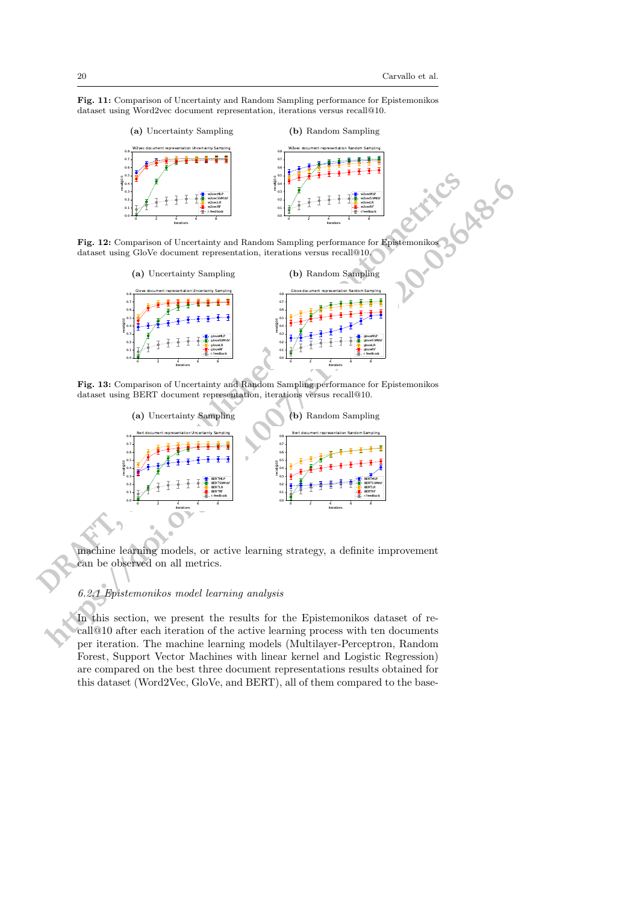Fig. 11: Comparison of Uncertainty and Random Sampling performance for Epistemonikos dataset using Word2vec document representation, iterations versus recall@10.

<span id="page-19-0"></span>

dataset using GloVe document representation, iterations versus recall@10.



<span id="page-19-1"></span>Fig. 13: Comparison of Uncertainty and Random Sampling performance for Epistemonikos dataset using BERT document representation, iterations versus recall@10.



machine learning models, or active learning strategy, a definite improvement can be observed on all metrics.

### 6.2.1 Epistemonikos model learning analysis

In this section, we present the results for the Epistemonikos dataset of recall@10 after each iteration of the active learning process with ten documents per iteration. The machine learning models (Multilayer-Perceptron, Random Forest, Support Vector Machines with linear kernel and Logistic Regression) are compared on the best three document representations results obtained for this dataset (Word2Vec, GloVe, and BERT), all of them compared to the base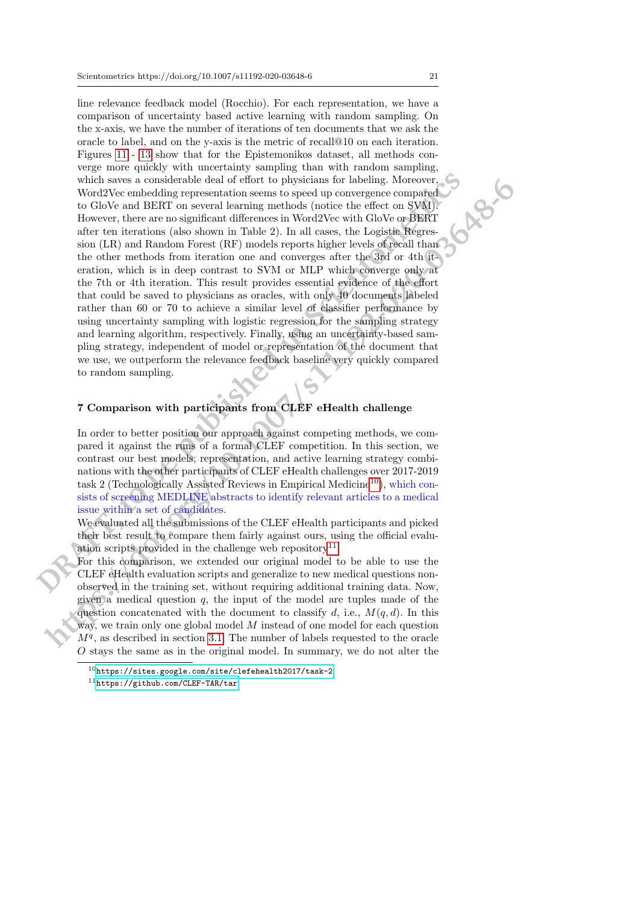which saves a considerable deal of effort to physicians for labeling. Moreover, Workly's embedding representation secons to speed up convergence compared by Hall cases, the Logistic Metrocentre there are no significant di which saves a considerable doel of effort to physicians for labeling. Moreover, where the search of the consideration is compared to Globe and BERI on several learning methods (notice the effect on SVM). The search is the line relevance feedback model (Rocchio). For each representation, we have a comparison of uncertainty based active learning with random sampling. On the x-axis, we have the number of iterations of ten documents that we ask the oracle to label, and on the y-axis is the metric of recall@10 on each iteration. Figures [11](#page-19-0) - [13](#page-19-1) show that for the Epistemonikos dataset, all methods converge more quickly with uncertainty sampling than with random sampling, which saves a considerable deal of effort to physicians for labeling. Moreover, Word2Vec embedding representation seems to speed up convergence compared to GloVe and BERT on several learning methods (notice the effect on SVM). However, there are no significant differences in Word2Vec with GloVe or BERT after ten iterations (also shown in Table 2). In all cases, the Logistic Regression (LR) and Random Forest (RF) models reports higher levels of recall than the other methods from iteration one and converges after the 3rd or 4th iteration, which is in deep contrast to SVM or MLP which converge only at the 7th or 4th iteration. This result provides essential evidence of the effort that could be saved to physicians as oracles, with only 40 documents labeled rather than 60 or 70 to achieve a similar level of classifier performance by using uncertainty sampling with logistic regression for the sampling strategy and learning algorithm, respectively. Finally, using an uncertainty-based sampling strategy, independent of model or representation of the document that we use, we outperform the relevance feedback baseline very quickly compared to random sampling.

# 7 Comparison with participants from CLEF eHealth challenge

In order to better position our approach against competing methods, we compared it against the runs of a formal CLEF competition. In this section, we contrast our best models, representation, and active learning strategy combinations with the other participants of CLEF eHealth challenges over 2017-2019 task 2 (Technologically Assisted Reviews in Empirical Medicine<sup>10</sup>), which consists of screening MEDLINE abstracts to identify relevant articles to a medical issue within a set of candidates.

We evaluated all the submissions of the CLEF eHealth participants and picked their best result to compare them fairly against ours, using the official evaluation scripts provided in the challenge web repository<sup>11</sup>.

For this comparison, we extended our original model to be able to use the CLEF eHealth evaluation scripts and generalize to new medical questions nonobserved in the training set, without requiring additional training data. Now, given a medical question  $q$ , the input of the model are tuples made of the question concatenated with the document to classify d, i.e.,  $M(q, d)$ . In this way, we train only one global model M instead of one model for each question  $M<sup>q</sup>$ , as described in section 3.1. The number of labels requested to the oracle O stays the same as in the original model. In summary, we do not alter the

 $10$ <https://sites.google.com/site/clefehealth2017/task-2>

<sup>11</sup><https://github.com/CLEF-TAR/tar>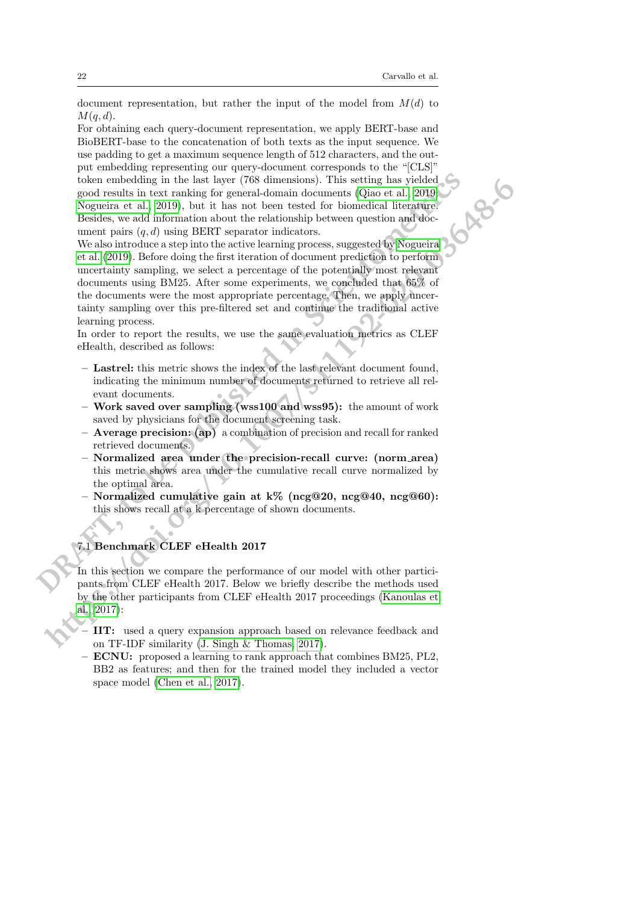document representation, but rather the input of the model from  $M(d)$  to  $M(q, d)$ .

For obtaining each query-document representation, we apply BERT-base and BioBERT-base to the concatenation of both texts as the input sequence. We use padding to get a maximum sequence length of 512 characters, and the output embedding representing our query-document corresponds to the "[CLS]" token embedding in the last layer (768 dimensions). This setting has yielded good results in text ranking for general-domain documents (Qiao et al., 2019; Nogueira et al., 2019), but it has not been tested for biomedical literature. Besides, we add information about the relationship between question and document pairs  $(q, d)$  using BERT separator indicators.

token e[m](#page-34-10)bedding in the last layer (768 dimensions). This setting has yielded good results in test ranking for general-domain document (Qino et al., 2019), but it has not been tested for biomedical literature? Besides, we token embedding in the last layer (768 dimensions). This setting has yielded in<br>excellence to the 2019) but it has not been restricted for biomedical literative<br>Decisions are al. 2019. Nogelet a the 2019 (Moreover the 2019 We also introduce a step into the active learning process, suggested by Nogueira et al. (2019). Before doing the first iteration of document prediction to perform uncertainty sampling, we select a percentage of the potentially most relevant documents using BM25. After some experiments, we concluded that 65% of the documents were the most appropriate percentage. Then, we apply uncertainty sampling over this pre-filtered set and continue the traditional active learning process.

In order to report the results, we use the same evaluation metrics as CLEF eHealth, described as follows:

- Lastrel: this metric shows the index of the last relevant document found, indicating the minimum number of documents returned to retrieve all relevant documents.
- Work saved over sampling (wss100 and wss95): the amount of work saved by physicians for the document screening task.
- Average precision: (ap) a combination of precision and recall for ranked retrieved documents.
- Normalized area under the precision-recall curve: (norm area) this metric shows area under the cumulative recall curve normalized by the optimal area.
- Normalized cumulative gain at  $k\%$  (ncg@20, ncg@40, ncg@60): this shows recall at a k percentage of shown documents.

# 7.1 Benchmark CLEF eHealth 2017

In this section we compare the performance of our model with other participants from CLEF eHealth 2017. Below we briefly describe the methods used by the other participants from CLEF eHealth 2017 proceedings (Kanoulas et al., 2017):

- IIT: used a query expansion approach based on relevance feedback and on TF-IDF similarity (J. Singh & Thomas, 2017).
- ECNU: proposed a learning to rank approach that combines BM25, PL2, BB2 as features; and then for the trained model they included a vector space model [\(Chen et al., 2017\)](#page-32-8).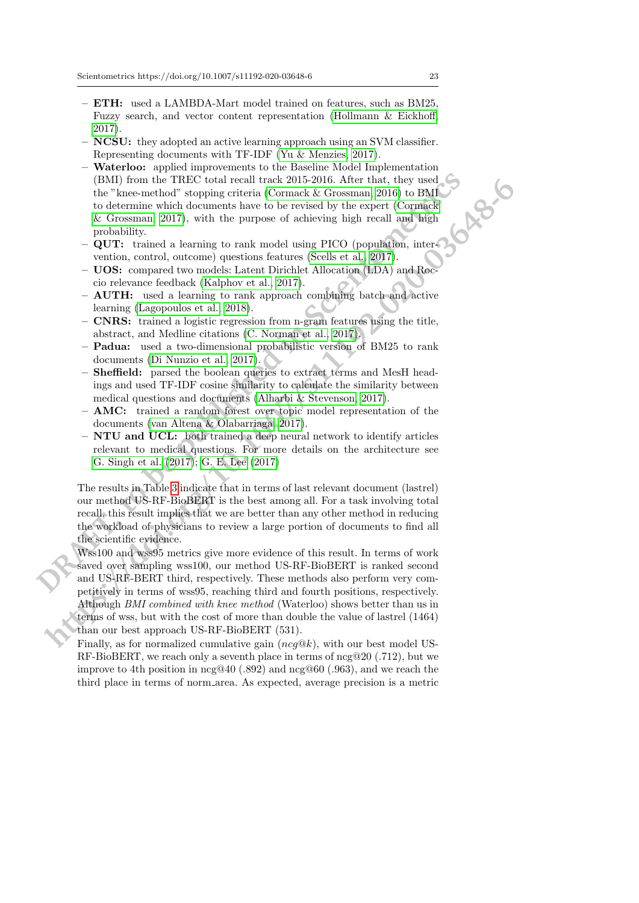- ETH: used a LAMBDA-Mart model trained on features, such as BM25, Fuzzy search, and vector content representation [\(Hollmann & Eickhoff,](#page-33-11) [2017\)](#page-33-11).
- NCSU: they adopted an active learning approach using an SVM classifier. Representing documents with TF-IDF [\(Yu & Menzies, 2017\)](#page-35-7).
- (BMI) from th[e](#page-32-11) TREC total recall track 2015-2016. After that, they used<br>to the "here-nethod" stophyig criteria (Coronack & Grossman, 2007) to be<br>to determine which documents have to be revised by the expert (Coronack<br> $k$  – Waterloo: applied improvements to the Baseline Model Implementation (BMI) from the TREC total recall track 2015-2016. After that, they used the "knee-method" stopping criteria (Cormack & Grossman, 2016) to BMI to determine which documents have to be revised by the expert (Cormack & Grossman, 2017), with the purpose of achieving high recall and high probability.
	- QUT: trained a learning to rank model using PICO (population, intervention, control, outcome) questions features (Scells et al., 2017).
	- UOS: compared two models: Latent Dirichlet Allocation (LDA) and Roccio relevance feedback (Kalphov et al., 2017).
	- AUTH: used a learning to rank approach combining batch and active learning (Lagopoulos et al., 2018).
	- CNRS: trained a logistic regression from n-gram features using the title, abstract, and Medline citations (C. Norman et al., 2017).
	- Padua: used a two-dimensional probabilistic version of BM25 to rank documents (Di Nunzio et al., 2017).
	- Sheffield: parsed the boolean queries to extract terms and MesH headings and used TF-IDF cosine similarity to calculate the similarity between medical questions and documents (Alharbi & Stevenson, 2017).
	- AMC: trained a random forest over topic model representation of the documents (van Altena & Olabarriaga, 2017).
	- NTU and UCL: both trained a deep neural network to identify articles relevant to medical questions. For more details on the architecture see G. Singh et al. (2017); G. E. Lee (2017)

The results in Table 3 indicate that in terms of last relevant document (lastrel) our method US-RF-BioBERT is the best among all. For a task involving total recall, this result implies that we are better than any other method in reducing the workload of physicians to review a large portion of documents to find all the scientific evidence.

(IMM) from the TRICC total result bursche than the same of the space of the bursch from the total contents have to be revised by the expert (Common Contenting with the contention with the contention of G. Consuman, 2017), Wss100 and wss95 metrics give more evidence of this result. In terms of work saved over sampling wss100, our method US-RF-BioBERT is ranked second and US-RF-BERT third, respectively. These methods also perform very competitively in terms of wss95, reaching third and fourth positions, respectively. Although BMI combined with knee method (Waterloo) shows better than us in terms of wss, but with the cost of more than double the value of lastrel (1464) than our best approach US-RF-BioBERT (531).

Finally, as for normalized cumulative gain  $(ncq@k)$ , with our best model US-RF-BioBERT, we reach only a seventh place in terms of  $n \in \mathbb{Q}$  (.712), but we improve to 4th position in ncg $@40$  (.892) and ncg $@60$  (.963), and we reach the third place in terms of norm area. As expected, average precision is a metric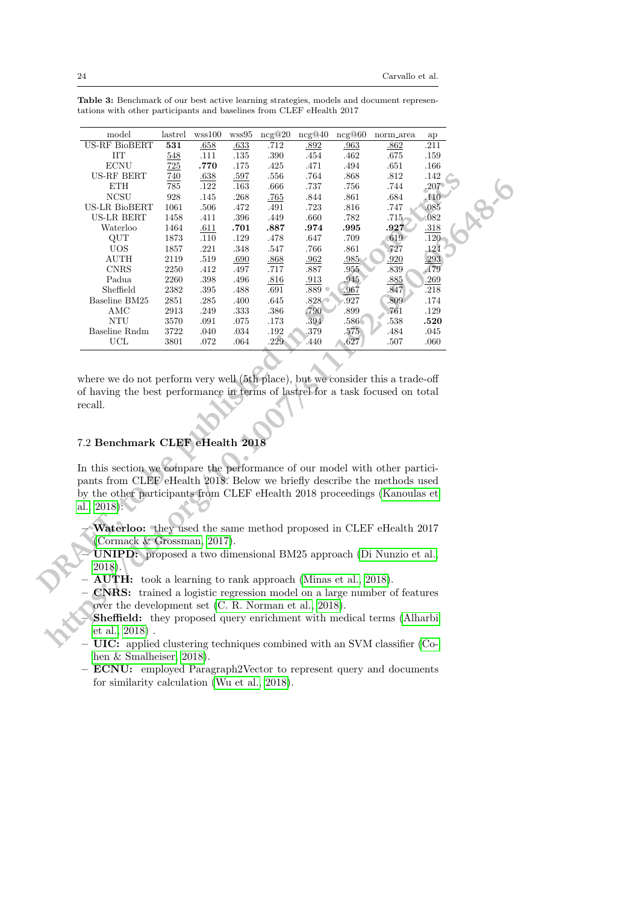| model                                                                                                                                                                                                                                                                                   | lastrel            | wss100      | wss95    | ncg@20   | $neg@40$ $neg@60$ |          | norm_area       | ap       |              |
|-----------------------------------------------------------------------------------------------------------------------------------------------------------------------------------------------------------------------------------------------------------------------------------------|--------------------|-------------|----------|----------|-------------------|----------|-----------------|----------|--------------|
| <b>US-RF BioBERT</b>                                                                                                                                                                                                                                                                    | 531                | .658        | .633     | .712     | .892              | .963     | .862            | .211     |              |
| HТ                                                                                                                                                                                                                                                                                      | 548                | .111        | .135     | .390     | .454              | .462     | .675            | .159     |              |
| <b>ECNU</b>                                                                                                                                                                                                                                                                             | $\ensuremath{725}$ | .770        | .175     | .425     | .471              | .494     | .651            | .166     |              |
| US-RF BERT                                                                                                                                                                                                                                                                              | 740                | .638        | .597     | .556     | .764              | .868     | $.812\,$        | .142     | <b>R</b> 810 |
| <b>ETH</b>                                                                                                                                                                                                                                                                              | 785                | .122        | .163     | .666     | .737              | .756     | $.744\,$        | .207     |              |
| <b>NCSU</b>                                                                                                                                                                                                                                                                             | $\boldsymbol{928}$ | .145        | .268     | .765     | .844              | .861     | $.684\,$        | .110     |              |
| <b>US-LR BioBERT</b>                                                                                                                                                                                                                                                                    | 1061               | .506        | .472     | .491     | .723              | .816     | $.747$          | $.085$   |              |
| US-LR BERT                                                                                                                                                                                                                                                                              | 1458               | .411        | .396     | .449     | .660              | .782     | .715            | .082     |              |
| Waterloo                                                                                                                                                                                                                                                                                | 1464               | <u>.611</u> | .701     | .887     | .974              | .995     | .927            | .318     |              |
| QUT                                                                                                                                                                                                                                                                                     | 1873               | .110        | .129     | .478     | .647              | .709     | $.619$ $\times$ | .120     |              |
| <b>UOS</b>                                                                                                                                                                                                                                                                              | 1857               | .221        | .348     | .547     | .766              | $.861\,$ | .727            | .124     |              |
| AUTH                                                                                                                                                                                                                                                                                    | 2119               | .519        | .690     | .868     | .962              | .985     | .920            | .293     |              |
| <b>CNRS</b>                                                                                                                                                                                                                                                                             | 2250               | .412        | .497     | .717     | .887              | .955     | $.839\,$        | .179     |              |
| Padua                                                                                                                                                                                                                                                                                   | 2260               | .398        | .496     | .816     | <u>.913</u>       | .945.    | .885            | .269     |              |
| Sheffield                                                                                                                                                                                                                                                                               | 2382               | .395        | .488     | .691     | .889              | .967     | .847            | $.218\,$ |              |
| Baseline BM25                                                                                                                                                                                                                                                                           | 2851               | $.285\,$    | .400     | $.645\,$ | .828              | .927     | .809            | $.174\,$ |              |
| AMC                                                                                                                                                                                                                                                                                     | 2913               | .249        | .333     | .386     | .790              | .899     | .761            | $.129\,$ |              |
| <b>NTU</b>                                                                                                                                                                                                                                                                              | $3570\,$           | .091        | .075     | .173     | .394              | .586     | $.538\,$        | $.520\,$ |              |
| Baseline Rndm                                                                                                                                                                                                                                                                           | 3722               | .040        | $.034\,$ | $.192\,$ | 379               | .575     | .484            | .045     |              |
| <b>UCL</b>                                                                                                                                                                                                                                                                              | 3801               | .072        | .064     | .229     | .440              | .627     | $.507\,$        | .060     |              |
| where we do not perform very well (5th place), but we consider this a trade-off<br>of having the best performance in terms of lastrel for a task focused on total<br>recall.                                                                                                            |                    |             |          |          |                   |          |                 |          |              |
| 7.2 Benchmark CLEF eHealth 2018                                                                                                                                                                                                                                                         |                    |             |          |          |                   |          |                 |          |              |
| In this section we compare the performance of our model with other partici-<br>pants from CLEF eHealth 2018. Below we briefly describe the methods used<br>by the other participants from CLEF eHealth 2018 proceedings (Kanoulas et<br>al., $2018$ ):                                  |                    |             |          |          |                   |          |                 |          |              |
| Waterloo: they used the same method proposed in CLEF eHealth 2017<br>(Cormack $&$ Grossman, 2017).<br><b>UNIPD:</b> proposed a two dimensional BM25 approach (Di Nunzio et al.,<br>$2018$ ).                                                                                            |                    |             |          |          |                   |          |                 |          |              |
| <b>AUTH:</b> took a learning to rank approach (Minas et al., 2018).<br><b>CNRS:</b> trained a logistic regression model on a large number of features<br>over the development set (C. R. Norman et al., 2018).<br>Sheffield: they proposed query enrichment with medical terms (Alharbi |                    |             |          |          |                   |          |                 |          |              |
| $et al., 2018$ .<br>UIC: applied clustering techniques combined with an SVM classifier (Co-                                                                                                                                                                                             |                    |             |          |          |                   |          |                 |          |              |

<span id="page-23-0"></span>Table 3: Benchmark of our best active learning strategies, models and document representations with other participants and baselines from CLEF eHealth 2017

# 7.2 Benchmark CLEF eHealth 2018

- UNIPD: proposed a two dimensional BM25 approach (Di Nunzio et al., 2018).
- AUTH: took a learning to rank approach (Minas et al., 2018).
- CNRS: trained a logistic regression model on a large number of features over the development set (C. R. Norman et al., 2018).
- Sheffield: they proposed query enrichment with medical terms (Alharbi et al., 2018) .
- UIC: applied clustering techniques combined with an SVM classifier (Co[hen & Smalheiser, 2018\)](#page-32-13).
- ECNU: employed Paragraph2Vector to represent query and documents for similarity calculation [\(Wu et al., 2018\)](#page-35-11).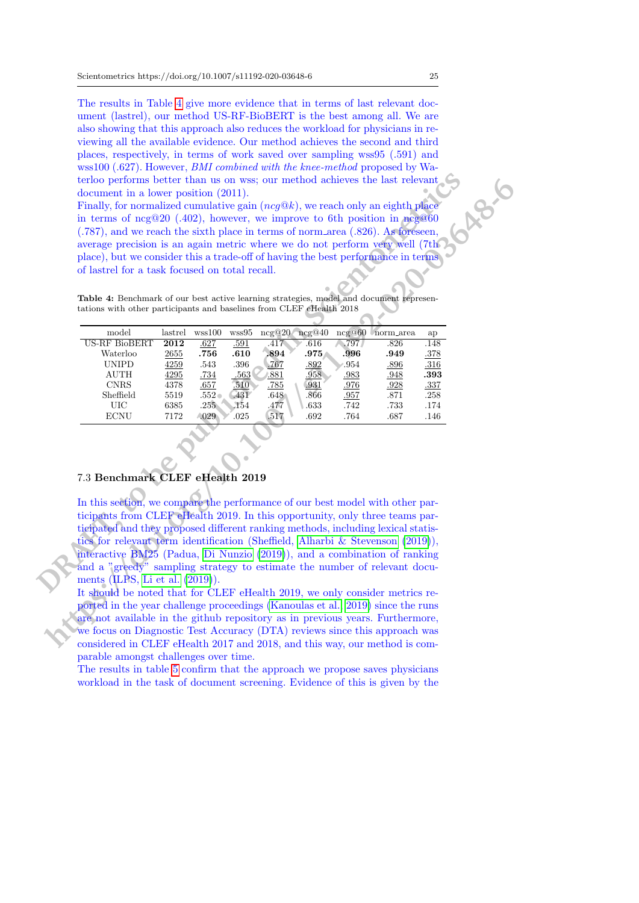The results in Table [4](#page-24-0) give more evidence that in terms of last relevant document (lastrel), our method US-RF-BioBERT is the best among all. We are also showing that this approach also reduces the workload for physicians in reviewing all the available evidence. Our method achieves the second and third places, respectively, in terms of work saved over sampling wss95 (.591) and wss100 (.627). However, *BMI combined with the knee-method* proposed by Waterloo performs better than us on wss; our method achieves the last relevant document in a lower position (2011).

<span id="page-24-0"></span>Table 4: Benchmark of our best active learning strategies, model and document representations with other participants and baselines from CLEF eHealth 2018

| terloo performs better than us on wss; our method achieves the last relevant            |              |                   |              |              |              |              |                    |              |  |  |
|-----------------------------------------------------------------------------------------|--------------|-------------------|--------------|--------------|--------------|--------------|--------------------|--------------|--|--|
| document in a lower position $(2011)$ .<br>Rer                                          |              |                   |              |              |              |              |                    |              |  |  |
| Finally, for normalized cumulative gain $(ncg@k)$ , we reach only an eighth place       |              |                   |              |              |              |              |                    |              |  |  |
| in terms of ncg@20 (.402), however, we improve to 6th position in ncg@60                |              |                   |              |              |              |              |                    |              |  |  |
|                                                                                         |              |                   |              |              |              |              |                    |              |  |  |
| (.787), and we reach the sixth place in terms of norm area (.826). As foreseen,         |              |                   |              |              |              |              |                    |              |  |  |
| average precision is an again metric where we do not perform very well (7th             |              |                   |              |              |              |              |                    |              |  |  |
| place), but we consider this a trade-off of having the best performance in terms        |              |                   |              |              |              |              |                    |              |  |  |
| of lastrel for a task focused on total recall.                                          |              |                   |              |              |              |              |                    |              |  |  |
|                                                                                         |              |                   |              |              |              |              |                    |              |  |  |
| Table 4: Benchmark of our best active learning strategies, model and document represen- |              |                   |              |              |              |              |                    |              |  |  |
| tations with other participants and baselines from CLEF eHealth 2018                    |              |                   |              |              |              |              |                    |              |  |  |
|                                                                                         |              |                   |              |              |              |              |                    |              |  |  |
| model                                                                                   | lastrel      | wss100            | wss95        | ncg@20       | ncg@40       |              | $ncg@60$ norm_area | аp           |  |  |
| <b>US-RF BioBERT</b>                                                                    | 2012         | .627              | .591         | .417         | .616         | $\sim 797$   | .826               | .148         |  |  |
| Waterloo                                                                                | 2655         | .756              | .610         | .894         | .975         | .996         | .949               | .378         |  |  |
| <b>UNIPD</b>                                                                            | 4259         | .543              | .396         | .767         | <u>.892</u>  | .954         | .896               | .316         |  |  |
| <b>AUTH</b>                                                                             | 4295         | .734              | .563         | 1881         | .958         | .983         | .948               | .393         |  |  |
| <b>CNRS</b>                                                                             | 4378         | .657              | $.510\,$     | .785         | .931         | .976         | .928               | .337         |  |  |
| Sheffield                                                                               | 5519         | .552 <sub>0</sub> | $-431$       | .648         | .866         | <u>.957</u>  | .871               | .258         |  |  |
| <b>UIC</b><br><b>ECNU</b>                                                               | 6385<br>7172 | .255<br>0.029     | .154<br>.025 | .477<br>.517 | .633<br>.692 | .742<br>.764 | .733<br>.687       | .174<br>.146 |  |  |
|                                                                                         |              |                   |              |              |              |              |                    |              |  |  |
|                                                                                         |              |                   |              |              |              |              |                    |              |  |  |
|                                                                                         |              |                   |              |              |              |              |                    |              |  |  |
|                                                                                         |              |                   |              |              |              |              |                    |              |  |  |
|                                                                                         |              |                   |              |              |              |              |                    |              |  |  |
| 7.3 Benchmark CLEF eHealth 2019                                                         |              |                   |              |              |              |              |                    |              |  |  |
|                                                                                         |              |                   |              |              |              |              |                    |              |  |  |
| In this section, we compare the performance of our best model with other par-           |              |                   |              |              |              |              |                    |              |  |  |
| ticipants from CLEF eHealth 2019. In this opportunity, only three teams par-            |              |                   |              |              |              |              |                    |              |  |  |
| ticipated and they proposed different ranking methods, including lexical statis-        |              |                   |              |              |              |              |                    |              |  |  |
| tics for relevant term identification (Sheffield, Alharbi & Stevenson $(2019)$ ),       |              |                   |              |              |              |              |                    |              |  |  |
| interactive BM25 (Padua, Di Nunzio (2019)), and a combination of ranking                |              |                   |              |              |              |              |                    |              |  |  |
| and a "greedy" sampling strategy to estimate the number of relevant docu-               |              |                   |              |              |              |              |                    |              |  |  |
| ments (ILPS, Li et al. $(2019)$ ).                                                      |              |                   |              |              |              |              |                    |              |  |  |
| It should be noted that for CLEF eHealth 2019, we only consider metrics re-             |              |                   |              |              |              |              |                    |              |  |  |
|                                                                                         |              |                   |              |              |              |              |                    |              |  |  |
| ported in the year challenge proceedings (Kanoulas et al., 2019) since the runs         |              |                   |              |              |              |              |                    |              |  |  |
| are not available in the github repository as in previous years. Furthermore,           |              |                   |              |              |              |              |                    |              |  |  |
| we focus on Diagnostic Test Accuracy (DTA) reviews since this approach was              |              |                   |              |              |              |              |                    |              |  |  |
| considered in CLEF eHealth 2017 and 2018, and this way, our method is com-              |              |                   |              |              |              |              |                    |              |  |  |

It should be noted that for CLEF eHealth 2019, we only consider metrics reported in the year challenge proceedings (Kanoulas et al., 2019) since the runs are not available in the github repository as in previous years. Furthermore, we focus on Diagnostic Test Accuracy (DTA) reviews since this approach was considered in CLEF eHealth 2017 and 2018, and this way, our method is comparable amongst challenges over time.

The results in table [5](#page-25-0) confirm that the approach we propose saves physicians workload in the task of document screening. Evidence of this is given by the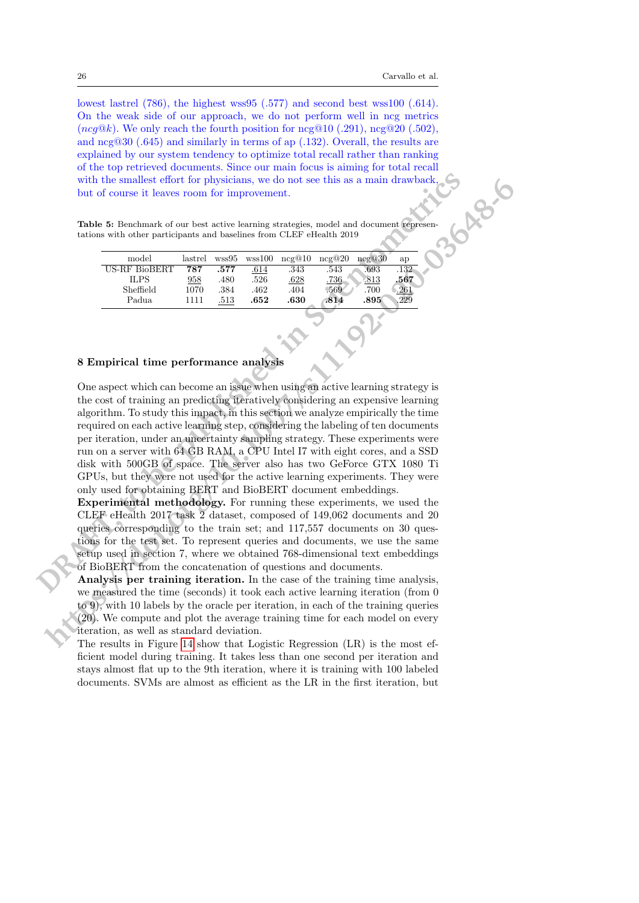lowest lastrel (786), the highest wss95 (.577) and second best wss100 (.614). On the weak side of our approach, we do not perform well in ncg metrics  $(ncq@k)$ . We only reach the fourth position for ncg@10 (.291), ncg@20 (.502), and ncg@30 (.645) and similarly in terms of ap (.132). Overall, the results are explained by our system tendency to optimize total recall rather than ranking of the top retrieved documents. Since our main focus is aiming for total recall with the smallest effort for physicians, we do not see this as a main drawback but of course it leaves room for improvement.

<span id="page-25-0"></span>Table 5: Benchmark of our best active learning strategies, model and document representations with other participants and baselines from CLEF eHealth 2019

| model            | lastrel | wss95 | wss100 | ncg@10 | ncg@20      | ncg@30 | ap   |
|------------------|---------|-------|--------|--------|-------------|--------|------|
| US-RF BioBERT    | 787     | .577  | .614   | .343   | .543        | .693   | .132 |
| <b>ILPS</b>      | 958     | .480  | .526   | .628   | <u>.736</u> | .813   | .567 |
| <b>Sheffield</b> | 1070    | .384  | .462   | .404   | .569        | .700   | .261 |
| Padua            | 1111    | .513  | .652   | .630   | .814        | .895   | .229 |

#### 8 Empirical time performance analysis

with the smallest effort for physicians, we do not see this as a main drawback,<br>but of course it leaves room for improvement.<br>
Table 5: Benefit alone but be a science beaming state<br>gives, model and document propositions w with the smallest effort for physicians, we do not see this as a main drawback,<br>but of course it leaves room for improvement.<br> **The E-B** Buchamek of our best active hearing strategies, model and document appeare.<br> **The E-**One aspect which can become an issue when using an active learning strategy is the cost of training an predicting iteratively considering an expensive learning algorithm. To study this impact, in this section we analyze empirically the time required on each active learning step, considering the labeling of ten documents per iteration, under an uncertainty sampling strategy. These experiments were run on a server with 64 GB RAM, a CPU Intel I7 with eight cores, and a SSD disk with 500GB of space. The server also has two GeForce GTX 1080 Ti GPUs, but they were not used for the active learning experiments. They were only used for obtaining BERT and BioBERT document embeddings.

Experimental methodology. For running these experiments, we used the CLEF eHealth 2017 task 2 dataset, composed of 149,062 documents and 20 queries corresponding to the train set; and 117,557 documents on 30 questions for the test set. To represent queries and documents, we use the same setup used in section 7, where we obtained 768-dimensional text embeddings of BioBERT from the concatenation of questions and documents.

Analysis per training iteration. In the case of the training time analysis, we measured the time (seconds) it took each active learning iteration (from 0 to 9), with 10 labels by the oracle per iteration, in each of the training queries (20). We compute and plot the average training time for each model on every iteration, as well as standard deviation.

The results in Figure 14 show that Logistic Regression (LR) is the most efficient model during training. It takes less than one second per iteration and stays almost flat up to the 9th iteration, where it is training with 100 labeled documents. SVMs are almost as efficient as the LR in the first iteration, but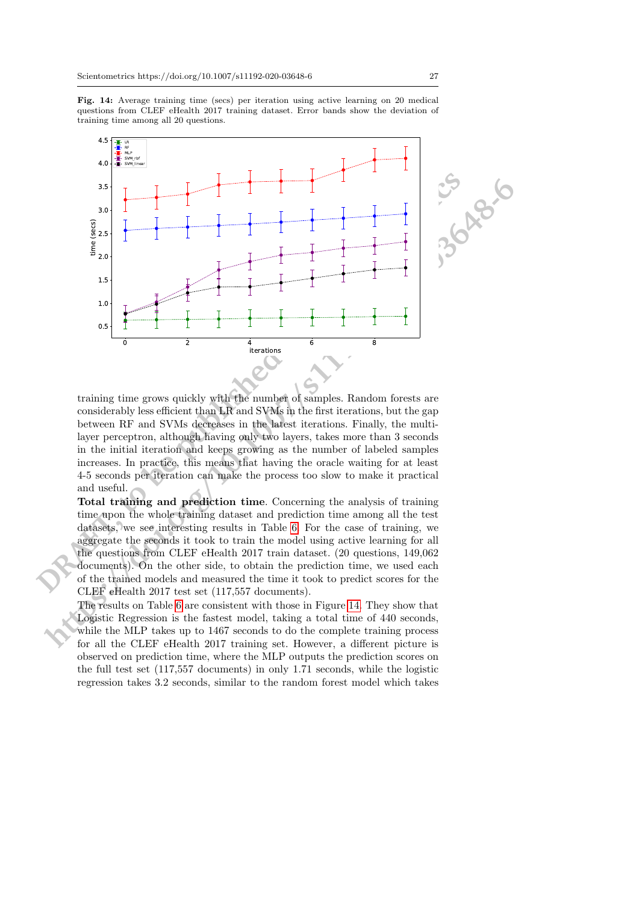<span id="page-26-0"></span>Fig. 14: Average training time (secs) per iteration using active learning on 20 medical questions from CLEF eHealth 2017 training dataset. Error bands show the deviation of training time among all 20 questions.



training time grows quickly with the number of samples. Random forests are considerably less efficient than LR and SVMs in the first iterations, but the gap between RF and SVMs decreases in the latest iterations. Finally, the multilayer perceptron, although having only two layers, takes more than 3 seconds in the initial iteration and keeps growing as the number of labeled samples increases. In practice, this means that having the oracle waiting for at least 4-5 seconds per iteration can make the process too slow to make it practical and useful.

Total training and prediction time. Concerning the analysis of training time upon the whole training dataset and prediction time among all the test datasets, we see interesting results in Table 6. For the case of training, we aggregate the seconds it took to train the model using active learning for all the questions from CLEF eHealth 2017 train dataset. (20 questions, 149,062 documents). On the other side, to obtain the prediction time, we used each of the trained models and measured the time it took to predict scores for the CLEF eHealth 2017 test set (117,557 documents).

The results on Table 6 are consistent with those in Figure 14. They show that Logistic Regression is the fastest model, taking a total time of 440 seconds, while the MLP takes up to 1467 seconds to do the complete training process for all the CLEF eHealth 2017 training set. However, a different picture is observed on prediction time, where the MLP outputs the prediction scores on the full test set (117,557 documents) in only 1.71 seconds, while the logistic regression takes 3.2 seconds, similar to the random forest model which takes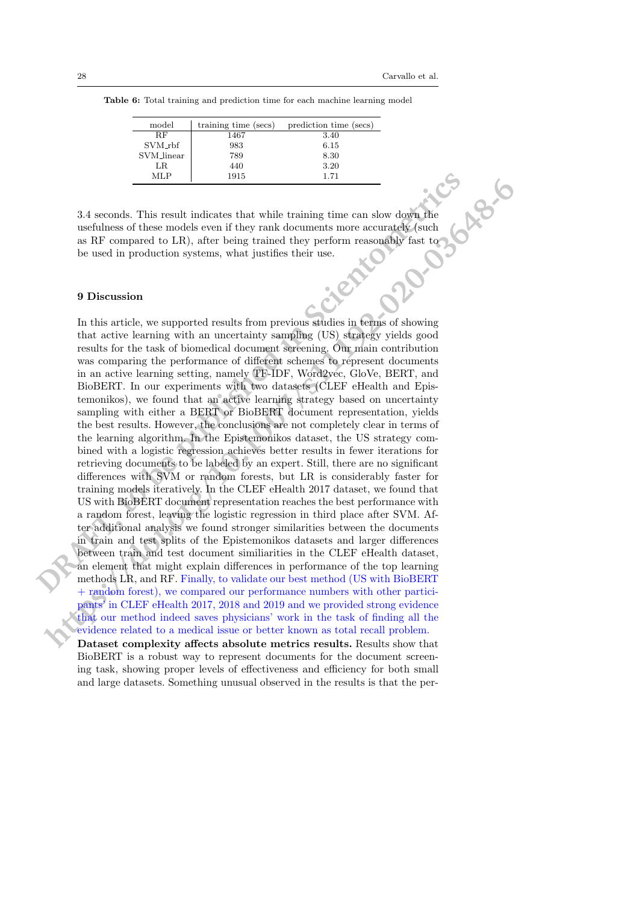| model                  | training time (secs) | prediction time (secs) |
|------------------------|----------------------|------------------------|
| R.F                    | 1467                 | 3.40                   |
| SVM_rbf                | 983                  | 6.15                   |
| SVM <sub>-linear</sub> | 789                  | 8.30                   |
| LR.                    | 440                  | 3.20                   |
| MLP                    | 1915                 | 1.71                   |

<span id="page-27-0"></span>Table 6: Total training and prediction time for each machine learning model

3.4 seconds. This result indicates that while training time can slow down the usefulness of these models even if they rank documents more accurately (such as  $RF$  compared to  $LR$ ), after being trained they perform reasonably fast be used in production systems, what justifies their use.

#### 9 Discussion

**DRAFT, to be published in Scientometrics https://doi. https://doi. https://doi. https://doi. https://doi. https://doi.org/10. https://doi.org/10. https://doi.org/10. https://doi.org/10. https://doi.org/10. http://doi.org/10. http://doi.org** In this article, we supported results from previous studies in terms of showing that active learning with an uncertainty sampling (US) strategy yields good results for the task of biomedical document screening. Our main contribution was comparing the performance of different schemes to represent documents in an active learning setting, namely TF-IDF, Word2vec, GloVe, BERT, and BioBERT. In our experiments with two datasets (CLEF eHealth and Epistemonikos), we found that an active learning strategy based on uncertainty sampling with either a BERT or BioBERT document representation, yields the best results. However, the conclusions are not completely clear in terms of the learning algorithm. In the Epistemonikos dataset, the US strategy combined with a logistic regression achieves better results in fewer iterations for retrieving documents to be labeled by an expert. Still, there are no significant differences with SVM or random forests, but LR is considerably faster for training models iteratively. In the CLEF eHealth 2017 dataset, we found that US with BioBERT document representation reaches the best performance with a random forest, leaving the logistic regression in third place after SVM. After additional analysis we found stronger similarities between the documents in train and test splits of the Epistemonikos datasets and larger differences between train and test document similiarities in the CLEF eHealth dataset, an element that might explain differences in performance of the top learning methods LR, and RF. Finally, to validate our best method (US with BioBERT + random forest), we compared our performance numbers with other participants' in CLEF eHealth 2017, 2018 and 2019 and we provided strong evidence that our method indeed saves physicians' work in the task of finding all the evidence related to a medical issue or better known as total recall problem.

Dataset complexity affects absolute metrics results. Results show that BioBERT is a robust way to represent documents for the document screening task, showing proper levels of effectiveness and efficiency for both small and large datasets. Something unusual observed in the results is that the per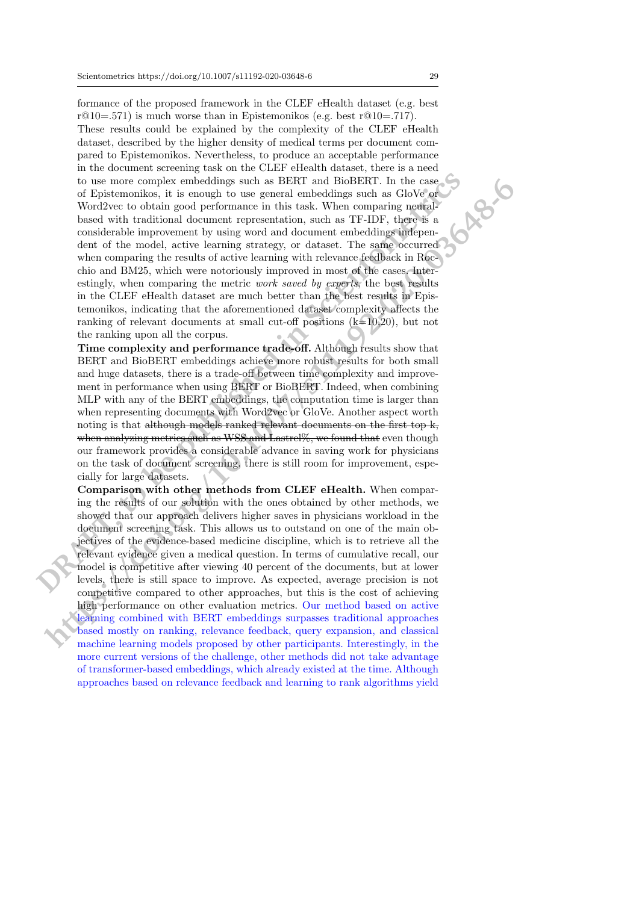to use more complex embeddings such as BERT and BioBERT. In the case of Epistemonikos, it is comple to use general embeddings such as GlobVe of Nortley based with traditional document representation, such as TF-DE, there to use more complex multidings aids at BERT and BioBERT. In the case of by the coloring of the product of the interaction between the total specifically the control between the color based with traditional document repres formance of the proposed framework in the CLEF eHealth dataset (e.g. best r@10=.571) is much worse than in Epistemonikos (e.g. best r@10=.717). These results could be explained by the complexity of the CLEF eHealth dataset, described by the higher density of medical terms per document compared to Epistemonikos. Nevertheless, to produce an acceptable performance in the document screening task on the CLEF eHealth dataset, there is a need to use more complex embeddings such as BERT and BioBERT. In the case of Epistemonikos, it is enough to use general embeddings such as GloVe or Word2vec to obtain good performance in this task. When comparing neuralbased with traditional document representation, such as TF-IDF, there is a considerable improvement by using word and document embeddings independent of the model, active learning strategy, or dataset. The same occurred when comparing the results of active learning with relevance feedback in Rocchio and BM25, which were notoriously improved in most of the cases. Interestingly, when comparing the metric *work saved by experts*, the best results in the CLEF eHealth dataset are much better than the best results in Epistemonikos, indicating that the aforementioned dataset complexity affects the ranking of relevant documents at small cut-off positions  $(k=10,20)$ , but not the ranking upon all the corpus.

Time complexity and performance trade-off. Although results show that BERT and BioBERT embeddings achieve more robust results for both small and huge datasets, there is a trade-off between time complexity and improvement in performance when using BERT or BioBERT. Indeed, when combining MLP with any of the BERT embeddings, the computation time is larger than when representing documents with Word2vec or GloVe. Another aspect worth noting is that although models ranked relevant documents on the first top  $k$ , when analyzing metrics such as WSS and Lastrel%, we found that even though our framework provides a considerable advance in saving work for physicians on the task of document screening, there is still room for improvement, especially for large datasets.

Comparison with other methods from CLEF eHealth. When comparing the results of our solution with the ones obtained by other methods, we showed that our approach delivers higher saves in physicians workload in the document screening task. This allows us to outstand on one of the main objectives of the evidence-based medicine discipline, which is to retrieve all the relevant evidence given a medical question. In terms of cumulative recall, our model is competitive after viewing 40 percent of the documents, but at lower levels, there is still space to improve. As expected, average precision is not competitive compared to other approaches, but this is the cost of achieving high performance on other evaluation metrics. Our method based on active learning combined with BERT embeddings surpasses traditional approaches based mostly on ranking, relevance feedback, query expansion, and classical machine learning models proposed by other participants. Interestingly, in the more current versions of the challenge, other methods did not take advantage of transformer-based embeddings, which already existed at the time. Although approaches based on relevance feedback and learning to rank algorithms yield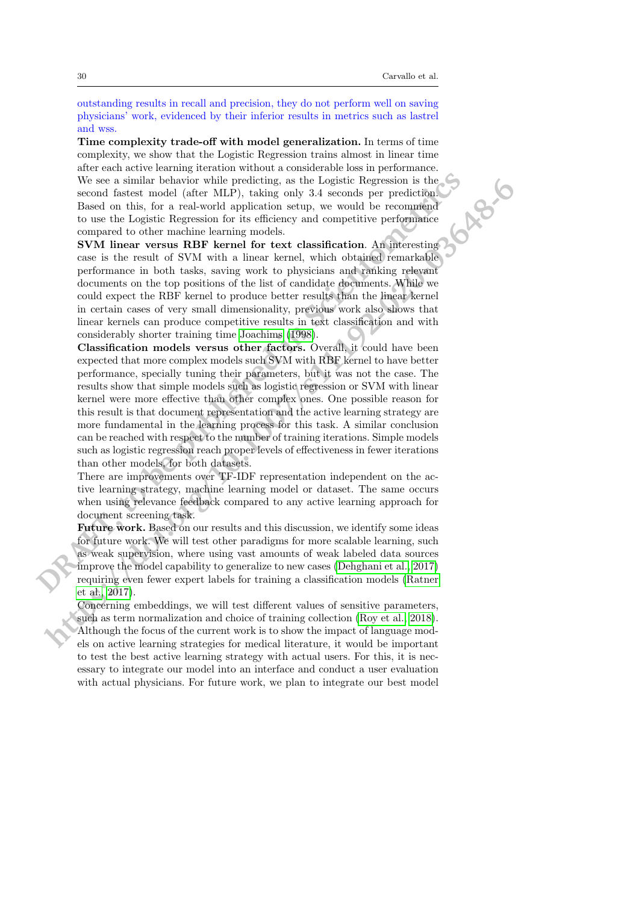outstanding results in recall and precision, they do not perform well on saving physicians' work, evidenced by their inferior results in metrics such as lastrel and wss.

Time complexity trade-off with model generalization. In terms of time complexity, we show that the Logistic Regression trains almost in linear time after each active learning iteration without a considerable loss in performance. We see a similar behavior while predicting, as the Logistic Regression is the second fastest model (after MLP), taking only 3.4 seconds per prediction. Based on this, for a real-world application setup, we would be recommend to use the Logistic Regression for its efficiency and competitive performance compared to other machine learning models.

SVM linear versus RBF kernel for text classification. An interesting case is the result of SVM with a linear kernel, which obtained remarkable performance in both tasks, saving work to physicians and ranking relevant documents on the top positions of the list of candidate documents. While we could expect the RBF kernel to produce better results than the linear kernel in certain cases of very small dimensionality, previous work also shows that linear kernels can produce competitive results in text classification and with considerably shorter training time Joachims (1998).

We see a similar behavior while predicting, as the Logistic Regression is the second fastest model (after MLP), taking only 3.4 seconds per prediction, and the compared to other machine learning models.<br> **SPM linear versu** We see a similar behavior while predicting, as the logistic Regression is the social metric model with product the second function is second function in the form and the crossing to to use the Logistic Regression for its Classification models versus other factors. Overall, it could have been expected that more complex models such SVM with RBF kernel to have better performance, specially tuning their parameters, but it was not the case. The results show that simple models such as logistic regression or SVM with linear kernel were more effective than other complex ones. One possible reason for this result is that document representation and the active learning strategy are more fundamental in the learning process for this task. A similar conclusion can be reached with respect to the number of training iterations. Simple models such as logistic regression reach proper levels of effectiveness in fewer iterations than other models, for both datasets.

There are improvements over TF-IDF representation independent on the active learning strategy, machine learning model or dataset. The same occurs when using relevance feedback compared to any active learning approach for document screening task.

Future work. Based on our results and this discussion, we identify some ideas for future work. We will test other paradigms for more scalable learning, such as weak supervision, where using vast amounts of weak labeled data sources improve the model capability to generalize to new cases (Dehghani et al., 2017) requiring even fewer expert labels for training a classification models (Ratner et al., 2017).

Concerning embeddings, we will test different values of sensitive parameters, such as term normalization and choice of training collection (Roy et al., 2018). Although the focus of the current work is to show the impact of language models on active learning strategies for medical literature, it would be important to test the best active learning strategy with actual users. For this, it is necessary to integrate our model into an interface and conduct a user evaluation with actual physicians. For future work, we plan to integrate our best model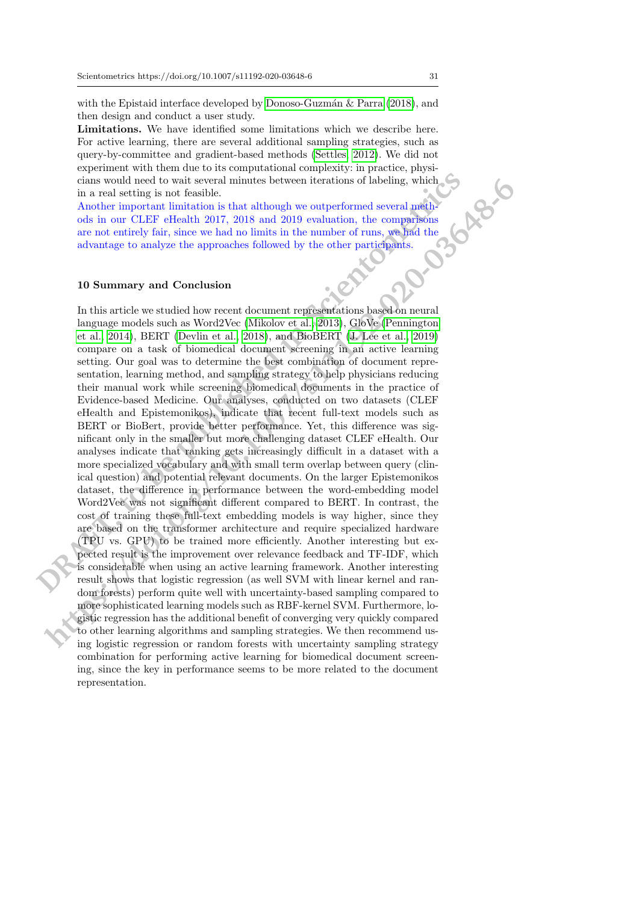with the Epistaid interface developed by Donoso-Guzmán  $\&$  Parra [\(2018\)](#page-32-2), and then design and conduct a user study.

Limitations. We have identified some limitations which we describe here. For active learning, there are several additional sampling strategies, such as query-by-committee and gradient-based methods [\(Settles, 2012\)](#page-35-0). We did not experiment with them due to its computational complexity: in practice, physicians would need to wait several minutes between iterations of labeling, which in a real setting is not feasible.

Another important limitation is that although we outperformed several methods in our CLEF eHealth 2017, 2018 and 2019 evaluation, the comparisons are not entirely fair, since we had no limits in the number of runs, we had the advantage to analyze the approaches followed by the other participants.

#### 10 Summary and Conclusion

cians would need to wait several minutes between iterations of labeling, which, in a read setting is not feasible.<br>Another important limitation is that although we outperformed several metical<br>ods in our CLEF effective 20 chan soudd need to wait several nimits between iterations of labeling, which in a real setting is not forest<br>helion by the absolute the member of member and the state of the state of the state of the state of the state of In this article we studied how recent document representations based on neural language models such as Word2Vec (Mikolov et al., 2013), GloVe (Pennington et al., 2014), BERT (Devlin et al., 2018), and BioBERT (J. Lee et al., 2019) compare on a task of biomedical document screening in an active learning setting. Our goal was to determine the best combination of document representation, learning method, and sampling strategy to help physicians reducing their manual work while screening biomedical documents in the practice of Evidence-based Medicine. Our analyses, conducted on two datasets (CLEF eHealth and Epistemonikos), indicate that recent full-text models such as BERT or BioBert, provide better performance. Yet, this difference was significant only in the smaller but more challenging dataset CLEF eHealth. Our analyses indicate that ranking gets increasingly difficult in a dataset with a more specialized vocabulary and with small term overlap between query (clinical question) and potential relevant documents. On the larger Epistemonikos dataset, the difference in performance between the word-embedding model Word2Vec was not significant different compared to BERT. In contrast, the cost of training these full-text embedding models is way higher, since they are based on the transformer architecture and require specialized hardware (TPU vs. GPU) to be trained more efficiently. Another interesting but expected result is the improvement over relevance feedback and TF-IDF, which is considerable when using an active learning framework. Another interesting result shows that logistic regression (as well SVM with linear kernel and random forests) perform quite well with uncertainty-based sampling compared to more sophisticated learning models such as RBF-kernel SVM. Furthermore, logistic regression has the additional benefit of converging very quickly compared to other learning algorithms and sampling strategies. We then recommend using logistic regression or random forests with uncertainty sampling strategy combination for performing active learning for biomedical document screening, since the key in performance seems to be more related to the document representation.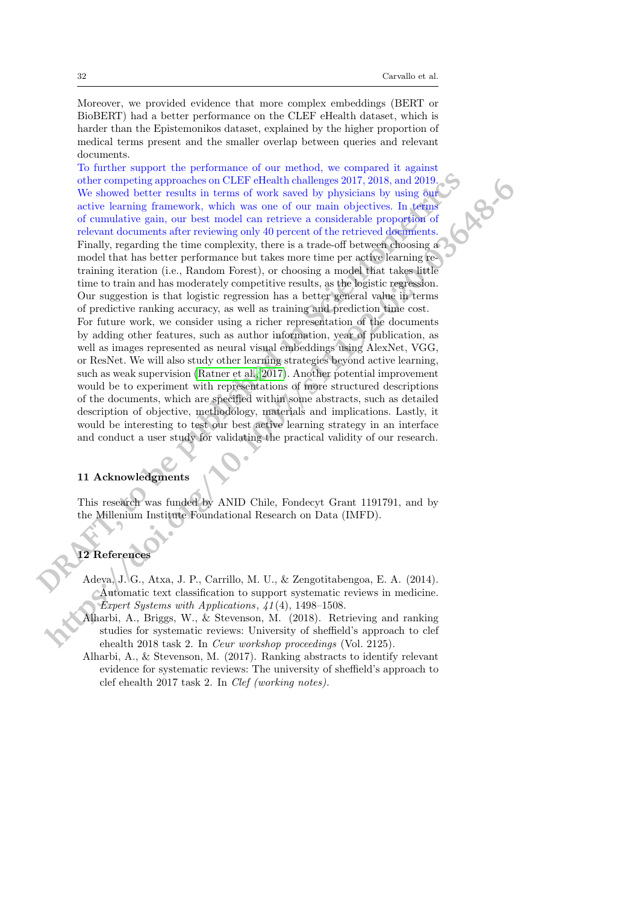Moreover, we provided evidence that more complex embeddings (BERT or BioBERT) had a better performance on the CLEF eHealth dataset, which is harder than the Epistemonikos dataset, explained by the higher proportion of medical terms present and the smaller overlap between queries and relevant documents.

order competing approaches on CLEF eHealth challenges 2017, 2018, and 2019, We showed by the store of curvature results in terms of work saved by physicistic by using our control certain framework, which was one of our ma ofter competing approaches on CIRF elfashin challenges 2017, 2018, and 2019<br>
We showed hatter results in terms of work saved by physicians by using 0nt<br>
active locaring framework, which was no of our main objectives. In or To further support the performance of our method, we compared it against other competing approaches on CLEF eHealth challenges 2017, 2018, and 2019. We showed better results in terms of work saved by physicians by using our active learning framework, which was one of our main objectives. In terms of cumulative gain, our best model can retrieve a considerable proportion of relevant documents after reviewing only 40 percent of the retrieved documents. Finally, regarding the time complexity, there is a trade-off between choosing a model that has better performance but takes more time per active learning retraining iteration (i.e., Random Forest), or choosing a model that takes little time to train and has moderately competitive results, as the logistic regression. Our suggestion is that logistic regression has a better general value in terms of predictive ranking accuracy, as well as training and prediction time cost. For future work, we consider using a richer representation of the documents by adding other features, such as author information, year of publication, as well as images represented as neural visual embeddings using AlexNet, VGG, or ResNet. We will also study other learning strategies beyond active learning, such as weak supervision (Ratner et al., 2017). Another potential improvement would be to experiment with representations of more structured descriptions of the documents, which are specified within some abstracts, such as detailed description of objective, methodology, materials and implications. Lastly, it would be interesting to test our best active learning strategy in an interface and conduct a user study for validating the practical validity of our research.

#### 11 Acknowledgments

This research was funded by ANID Chile, Fondecyt Grant 1191791, and by the Millenium Institute Foundational Research on Data (IMFD).

# 12 References

- <span id="page-31-0"></span>Adeva, J. G., Atxa, J. P., Carrillo, M. U., & Zengotitabengoa, E. A. (2014). Automatic text classification to support systematic reviews in medicine. Expert Systems with Applications, 41 (4), 1498–1508.
- <span id="page-31-2"></span>Alharbi, A., Briggs, W., & Stevenson, M. (2018). Retrieving and ranking studies for systematic reviews: University of sheffield's approach to clef ehealth 2018 task 2. In Ceur workshop proceedings (Vol. 2125).
- <span id="page-31-1"></span>Alharbi, A., & Stevenson, M. (2017). Ranking abstracts to identify relevant evidence for systematic reviews: The university of sheffield's approach to clef ehealth 2017 task 2. In Clef (working notes).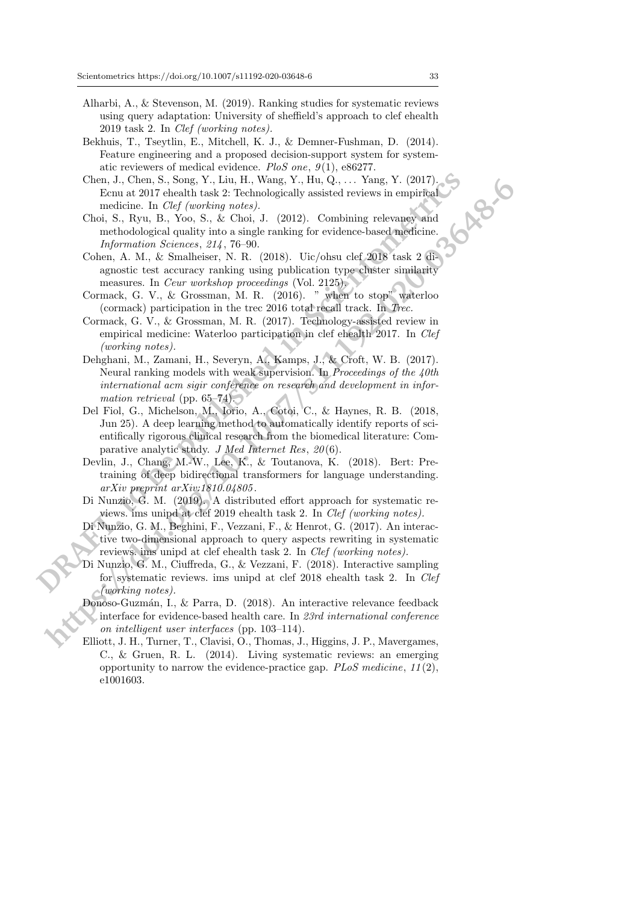- <span id="page-32-6"></span>Alharbi, A., & Stevenson, M. (2019). Ranking studies for systematic reviews using query adaptation: University of sheffield's approach to clef ehealth 2019 task 2. In Clef (working notes).
- <span id="page-32-3"></span>Bekhuis, T., Tseytlin, E., Mitchell, K. J., & Demner-Fushman, D. (2014). Feature engineering and a proposed decision-support system for systematic reviewers of medical evidence. PloS one,  $9(1)$ , e86277.
- <span id="page-32-8"></span>Chen, J., Chen, S., Song, Y., Liu, H., Wang, Y., Hu, Q., . . . Yang, Y. (2017). Ecnu at 2017 ehealth task 2: Technologically assisted reviews in empirical medicine. In Clef (working notes).
- <span id="page-32-4"></span>Choi, S., Ryu, B., Yoo, S., & Choi, J. (2012). Combining relevancy and methodological quality into a single ranking for evidence-based medicine. Information Sciences, 214 , 76–90.
- <span id="page-32-13"></span>Cohen, A. M., & Smalheiser, N. R. (2018). Uic/ohsu clef 2018 task 2 diagnostic test accuracy ranking using publication type cluster similarity measures. In Ceur workshop proceedings (Vol. 2125).
- <span id="page-32-9"></span>Cormack, G. V., & Grossman, M. R. (2016). " when to stop" waterloo (cormack) participation in the trec 2016 total recall track. In Trec.
- <span id="page-32-10"></span>Cormack, G. V., & Grossman, M. R. (2017). Technology-assisted review in empirical medicine: Waterloo participation in clef ehealth 2017. In Clef (working notes).
- <span id="page-32-14"></span><span id="page-32-12"></span><span id="page-32-11"></span><span id="page-32-7"></span><span id="page-32-5"></span><span id="page-32-2"></span><span id="page-32-1"></span><span id="page-32-0"></span>Dehghani, M., Zamani, H., Severyn, A., Kamps, J., & Croft, W. B. (2017). Neural ranking models with weak supervision. In Proceedings of the 40th international acm sigir conference on research and development in information retrieval (pp. 65–74).
- Chen, J., Chen, S., Song, Y., Lin, H., Wang, Y., Hn, Q..... Yang, Y. (2017).<br>
Een<br/>in 2017 chealth task 2: Technologically assisted reviews in empirical chealths, B., Ry<br/>a. Box, S., & Choi, J. (2012). Combining rel Chen, B., Glom, S., Song, V., Lin, H., Wang, Y., Hung, A., Hung, A., Hung, A., Hung, A., Hung, A., Hung, Hung, and S. Hung, the two-disconsists of methodogical particles in the check of continuous continuous continuous of Del Fiol, G., Michelson, M., Iorio, A., Cotoi, C., & Haynes, R. B. (2018, Jun 25). A deep learning method to automatically identify reports of scientifically rigorous clinical research from the biomedical literature: Comparative analytic study. J Med Internet Res,  $20(6)$ .
	- Devlin, J., Chang, M.-W., Lee, K., & Toutanova, K. (2018). Bert: Pretraining of deep bidirectional transformers for language understanding. arXiv preprint arXiv:1810.04805 .
	- Di Nunzio, G. M. (2019). A distributed effort approach for systematic reviews. ims unipd at clef 2019 ehealth task 2. In Clef (working notes).
	- Di Nunzio, G. M., Beghini, F., Vezzani, F., & Henrot, G. (2017). An interactive two-dimensional approach to query aspects rewriting in systematic reviews. ims unipd at clef ehealth task 2. In *Clef (working notes)*.
	- Di Nunzio, G. M., Ciuffreda, G., & Vezzani, F. (2018). Interactive sampling for systematic reviews. ims unipd at clef 2018 ehealth task 2. In Clef (working notes).
	- Donoso-Guzmán, I., & Parra, D. (2018). An interactive relevance feedback interface for evidence-based health care. In 23rd international conference on intelligent user interfaces (pp. 103–114).
	- Elliott, J. H., Turner, T., Clavisi, O., Thomas, J., Higgins, J. P., Mavergames, C., & Gruen, R. L. (2014). Living systematic reviews: an emerging opportunity to narrow the evidence-practice gap.  $PLoS$  medicine,  $11(2)$ , e1001603.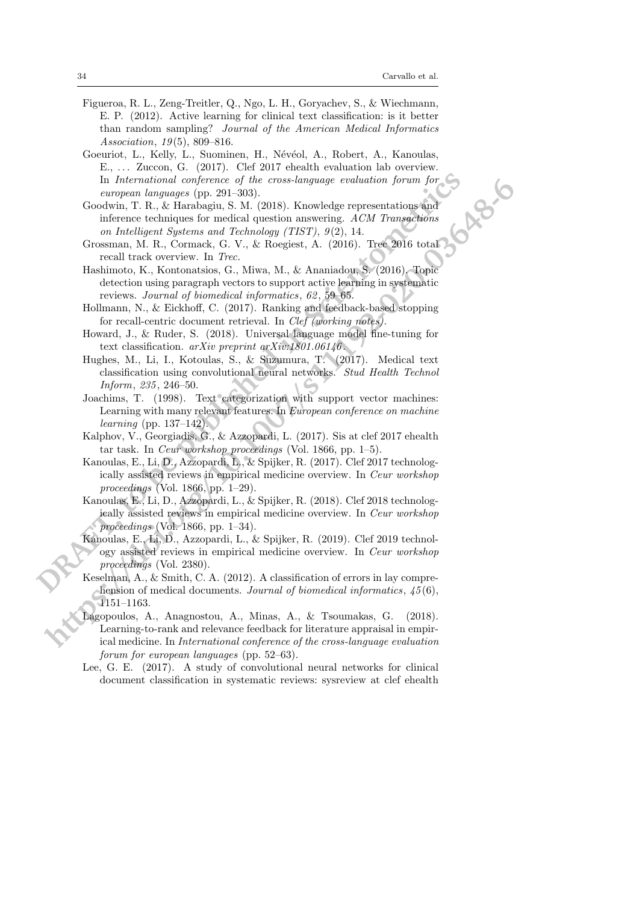- <span id="page-33-7"></span>Figueroa, R. L., Zeng-Treitler, Q., Ngo, L. H., Goryachev, S., & Wiechmann, E. P. (2012). Active learning for clinical text classification: is it better than random sampling? Journal of the American Medical Informatics Association, 19(5), 809-816.
- <span id="page-33-10"></span>Goeuriot, L., Kelly, L., Suominen, H., Névéol, A., Robert, A., Kanoulas, E., ... Zuccon, G. (2017). Clef 2017 ehealth evaluation lab overview. In International conference of the cross-language evaluation forum for european languages (pp. 291–303).
- <span id="page-33-5"></span>Goodwin, T. R., & Harabagiu, S. M. (2018). Knowledge representations and inference techniques for medical question answering. ACM Transactions on Intelligent Systems and Technology (TIST), 9(2), 14.
- <span id="page-33-4"></span>Grossman, M. R., Cormack, G. V., & Roegiest, A. (2016). Trec 2016 total recall track overview. In Trec.
- <span id="page-33-6"></span>Hashimoto, K., Kontonatsios, G., Miwa, M., & Ananiadou, S. (2016). Topic detection using paragraph vectors to support active learning in systematic reviews. Journal of biomedical informatics, 62, 59-65.
- <span id="page-33-11"></span>Hollmann, N., & Eickhoff, C. (2017). Ranking and feedback-based stopping for recall-centric document retrieval. In Clef (working notes).
- <span id="page-33-9"></span>Howard, J., & Ruder, S. (2018). Universal language model fine-tuning for text classification.  $arXiv$  preprint  $arXiv:1801.06146$ .
- <span id="page-33-8"></span>Hughes, M., Li, I., Kotoulas, S., & Suzumura, T. (2017). Medical text classification using convolutional neural networks. Stud Health Technol Inform, 235 , 246–50.
- <span id="page-33-15"></span>Joachims, T. (1998). Text categorization with support vector machines: Learning with many relevant features. In European conference on machine  $learning$  (pp. 137–142).
- <span id="page-33-14"></span><span id="page-33-13"></span><span id="page-33-12"></span><span id="page-33-3"></span><span id="page-33-2"></span><span id="page-33-1"></span><span id="page-33-0"></span>Kalphov, V., Georgiadis, G., & Azzopardi, L. (2017). Sis at clef 2017 ehealth tar task. In Ceur workshop proceedings (Vol. 1866, pp. 1–5).
- In International conference of the cross-language evaluation forum for<br>
Couvering in the subsequence of the cross-conference evaluation space for a metallique sign of the Harabagiu, S. M. (2018). Knowledge representations Kanoulas, E., Li, D., Azzopardi, L., & Spijker, R. (2017). Clef 2017 technologically assisted reviews in empirical medicine overview. In Ceur workshop proceedings (Vol. 1866, pp. 1–29).
	- Kanoulas, E., Li, D., Azzopardi, L., & Spijker, R. (2018). Clef 2018 technologically assisted reviews in empirical medicine overview. In Ceur workshop proceedings (Vol. 1866, pp. 1–34).
	- Kanoulas, E., Li, D., Azzopardi, L., & Spijker, R. (2019). Clef 2019 technology assisted reviews in empirical medicine overview. In Ceur workshop proceedings (Vol. 2380).
	- Keselman, A., & Smith, C. A. (2012). A classification of errors in lay comprehension of medical documents. Journal of biomedical informatics,  $45(6)$ , 1151–1163.
	- In International conference of the cross-lenguage scaliar<br>time compense for a considerably S. N. (2018). Knowledge representations and<br>inference techniques for merical question answering. ACM Transactions<br>for inference tec Lagopoulos, A., Anagnostou, A., Minas, A., & Tsoumakas, G. (2018). Learning-to-rank and relevance feedback for literature appraisal in empirical medicine. In International conference of the cross-language evaluation forum for european languages (pp. 52–63).
		- Lee, G. E. (2017). A study of convolutional neural networks for clinical document classification in systematic reviews: sysreview at clef ehealth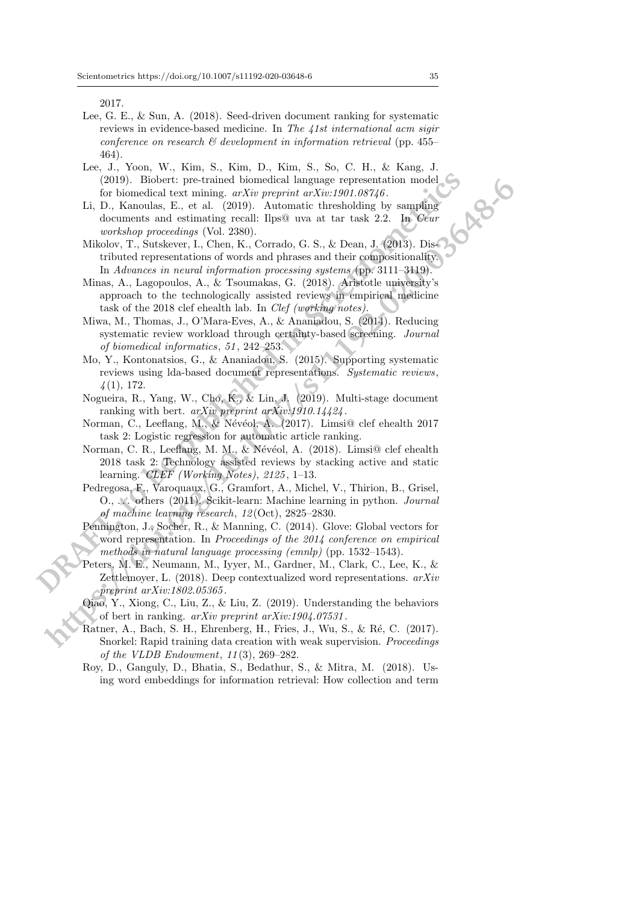2017.

- <span id="page-34-1"></span>Lee, G. E., & Sun, A. (2018). Seed-driven document ranking for systematic reviews in evidence-based medicine. In The 41st international acm sigir conference on research  $\mathcal B$  development in information retrieval (pp. 455– 464).
- <span id="page-34-4"></span>Lee, J., Yoon, W., Kim, S., Kim, D., Kim, S., So, C. H., & Kang, J. (2019). Biobert: pre-trained biomedical language representation model for biomedical text mining.  $arXiv$  preprint  $arXiv:1901.08746$ .
- <span id="page-34-7"></span>Li, D., Kanoulas, E., et al. (2019). Automatic thresholding by sampling documents and estimating recall: Ilps@ uva at tar task 2.2. In Ceur workshop proceedings (Vol. 2380).
- <span id="page-34-2"></span>Mikolov, T., Sutskever, I., Chen, K., Corrado, G. S., & Dean, J. (2013). Distributed representations of words and phrases and their compositionality. In Advances in neural information processing systems (pp. 3111–3119).
- <span id="page-34-15"></span><span id="page-34-14"></span><span id="page-34-13"></span><span id="page-34-12"></span><span id="page-34-11"></span><span id="page-34-10"></span><span id="page-34-9"></span><span id="page-34-8"></span><span id="page-34-6"></span><span id="page-34-5"></span><span id="page-34-3"></span><span id="page-34-0"></span>Minas, A., Lagopoulos, A., & Tsoumakas, G. (2018). Aristotle university's approach to the technologically assisted reviews in empirical medicine task of the 2018 clef ehealth lab. In Clef (working notes).
- (2019). Biobert: pre-trained biomedical language representation model<br>for biomedical text mining, arxive presentation model<br>in , b, r, sanoulss, E., et al. (2019). Automatic threshololing by sampling<br>decoments and estimat (2019). Rehert: per-triatined biomedical larging-representation model<br>for biomedical text mining, anyity grappind anyity approximation model<br>i.d., D., Kanonlas, E., et al. (2013). Automatic thresholding by sampling<br>docume Miwa, M., Thomas, J., O'Mara-Eves, A., & Ananiadou, S. (2014). Reducing systematic review workload through certainty-based screening. Journal of biomedical informatics, 51 , 242–253.
	- Mo, Y., Kontonatsios, G., & Ananiadou, S. (2015). Supporting systematic reviews using lda-based document representations. Systematic reviews,  $\frac{1}{4}(1), 172.$
	- Nogueira, R., Yang, W., Cho, K., & Lin, J. (2019). Multi-stage document ranking with bert.  $arXiv$  preprint  $arXiv:1910.14424$ .
	- Norman, C., Leeflang, M., & Névéol, A.  $(2017)$ . Limsi@ clef ehealth 2017 task 2: Logistic regression for automatic article ranking.
	- Norman, C. R., Leeflang, M. M., & Névéol, A. (2018). Limsi@ clef ehealth 2018 task 2: Technology assisted reviews by stacking active and static learning.  $CLEF$  (Working Notes), 2125, 1-13.
	- Pedregosa, F., Varoquaux, G., Gramfort, A., Michel, V., Thirion, B., Grisel, O., ... others (2011). Scikit-learn: Machine learning in python. Journal of machine learning research, 12 (Oct), 2825–2830.
	- Pennington, J., Socher, R., & Manning, C. (2014). Glove: Global vectors for word representation. In Proceedings of the 2014 conference on empirical methods in natural language processing (emnlp) (pp. 1532–1543).
	- Peters, M. E., Neumann, M., Iyyer, M., Gardner, M., Clark, C., Lee, K., & Zettlemoyer, L.  $(2018)$ . Deep contextualized word representations.  $arXiv$ preprint arXiv:1802.05365 .
	- Qiao, Y., Xiong, C., Liu, Z., & Liu, Z. (2019). Understanding the behaviors of bert in ranking. arXiv preprint arXiv:1904.07531 .
	- Ratner, A., Bach, S. H., Ehrenberg, H., Fries, J., Wu, S., & Ré, C. (2017). Snorkel: Rapid training data creation with weak supervision. *Proceedings* of the VLDB Endowment, 11 (3), 269–282.
	- Roy, D., Ganguly, D., Bhatia, S., Bedathur, S., & Mitra, M. (2018). Using word embeddings for information retrieval: How collection and term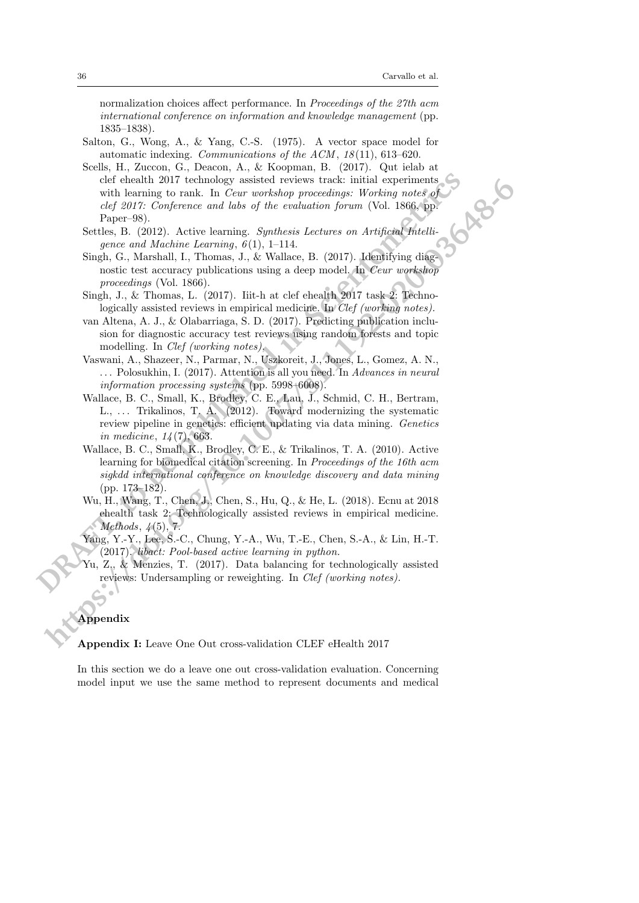normalization choices affect performance. In Proceedings of the 27th acm international conference on information and knowledge management (pp. 1835–1838).

- <span id="page-35-8"></span><span id="page-35-3"></span>Salton, G., Wong, A., & Yang, C.-S. (1975). A vector space model for automatic indexing. Communications of the ACM, 18(11), 613-620.
- <span id="page-35-10"></span><span id="page-35-9"></span><span id="page-35-6"></span><span id="page-35-4"></span><span id="page-35-0"></span>cide chealth 2017 technology assisted reviews track; initial experiments, with learning to rank. In Cear worskshop receedings: Working notes of the evaluation forwar (Voi. 1866-pp). Paper-98). Active learning, Synthesis L Scells, H., Zuccon, G., Deacon, A., & Koopman, B. (2017). Qut ielab at clef ehealth 2017 technology assisted reviews track: initial experiments with learning to rank. In *Ceur workshop proceedings: Working notes of* clef 2017: Conference and labs of the evaluation forum (Vol. 1866, pp. Paper–98).
	- Settles, B. (2012). Active learning. Synthesis Lectures on Artificial Intelligence and Machine Learning,  $6(1)$ , 1–114.
	- Singh, G., Marshall, I., Thomas, J., & Wallace, B. (2017). Identifying diagnostic test accuracy publications using a deep model. In Ceur workshop proceedings (Vol. 1866).
	- Singh, J., & Thomas, L. (2017). Iiit-h at clef ehealth 2017 task 2: Technologically assisted reviews in empirical medicine. In Clef (working notes).
	- van Altena, A. J., & Olabarriaga, S. D. (2017). Predicting publication inclusion for diagnostic accuracy test reviews using random forests and topic modelling. In Clef (working notes).
	- Vaswani, A., Shazeer, N., Parmar, N., Uszkoreit, J., Jones, L., Gomez, A. N., ... Polosukhin, I. (2017). Attention is all you need. In Advances in neural information processing systems (pp. 5998–6008).
	- Wallace, B. C., Small, K., Brodley, C. E., Lau, J., Schmid, C. H., Bertram, L., ... Trikalinos, T. A. (2012). Toward modernizing the systematic review pipeline in genetics: efficient updating via data mining. Genetics in medicine, 14 (7), 663.
	- def electric line are the molegar assistant wivies track- initial experiments<br>with learning to reak. In Cear worskip proceedings. Working note of<br> $c\leq \log 20$ ? Cordernoc and labs of the evaluation forum (Vol. 1806-pp)<br>Paper Wallace, B. C., Small, K., Brodley, C. E., & Trikalinos, T. A. (2010). Active learning for biomedical citation screening. In Proceedings of the 16th acm sigkdd international conference on knowledge discovery and data mining (pp. 173–182).
		- Wu, H., Wang, T., Chen, J., Chen, S., Hu, Q., & He, L. (2018). Ecnu at 2018 ehealth task 2: Technologically assisted reviews in empirical medicine. *Methods,*  $\lambda(5)$ , 7.
		- Yang, Y.-Y., Lee, S.-C., Chung, Y.-A., Wu, T.-E., Chen, S.-A., & Lin, H.-T. (2017). libact: Pool-based active learning in python.
		- Yu, Z., & Menzies, T. (2017). Data balancing for technologically assisted reviews: Undersampling or reweighting. In *Clef (working notes)*.

# <span id="page-35-11"></span><span id="page-35-7"></span><span id="page-35-5"></span><span id="page-35-2"></span><span id="page-35-1"></span>Appendix

Appendix I: Leave One Out cross-validation CLEF eHealth 2017

In this section we do a leave one out cross-validation evaluation. Concerning model input we use the same method to represent documents and medical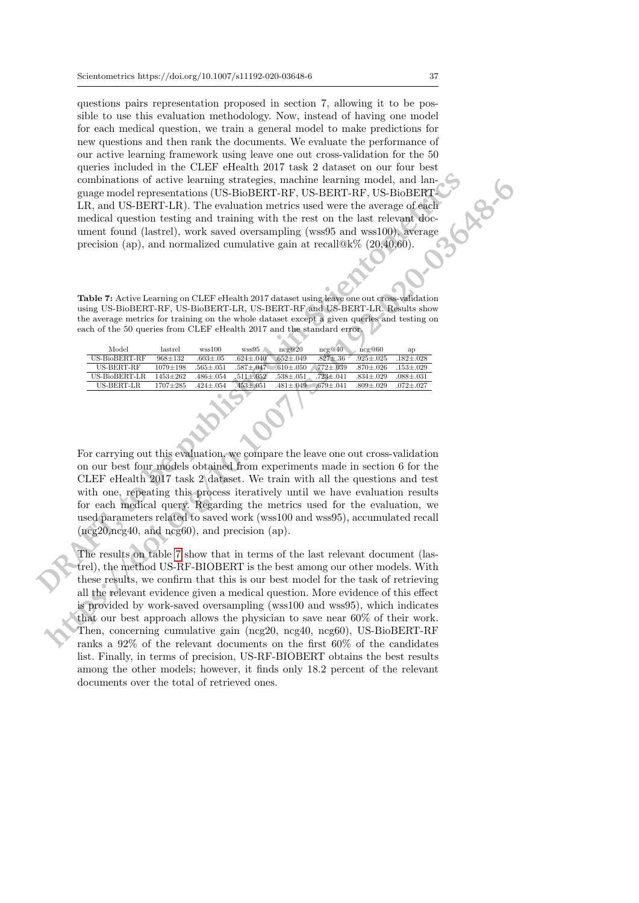questions pairs representation proposed in section 7, allowing it to be possible to use this evaluation methodology. Now, instead of having one model for each medical question, we train a general model to make predictions for new questions and then rank the documents. We evaluate the performance of our active learning framework using leave one out cross-validation for the 50 queries included in the CLEF eHealth 2017 task 2 dataset on our four best combinations of active learning strategies, machine learning model, and language model representations (US-BioBERT-RF, US-BERT-RF, US-BioBERT-LR, and US-BERT-LR). The evaluation metrics used were the average of each medical question testing and training with the rest on the last relevant document found (lastrel), work saved oversampling (wss95 and wss100), average precision (ap), and normalized cumulative gain at recall $@k\%$  (20,40,60).

<span id="page-36-0"></span>Table 7: Active Learning on CLEF eHealth 2017 dataset using leave one out cross-validation using US-BioBERT-RF, US-BioBERT-LR, US-BERT-RF and US-BERT-LR. Results show the average metrics for training on the whole dataset except a given queries and testing on each of the 50 queries from CLEF eHealth 2017 and the standard error.

| Model         | lastrel       | wss100         | wss95         | $n c \sigma$ 020 | nce@40        | nce@60        | ap              |
|---------------|---------------|----------------|---------------|------------------|---------------|---------------|-----------------|
| US-BioBERT-RF | $968 \pm 132$ | $.603 \pm .05$ | $.624 + .040$ | $.652 + .049$    | $.827 + .36$  | $.925 + .025$ | $.182 + .028$   |
| US-BERT-RF    | $1079 + 198$  | $.565 + .051$  | $.587 + .047$ | $.610 + .050$    | $.772 + .039$ | $.870 + .026$ | $.153 + .029$   |
| US-BioBERT-LR | 1453+262      | $.486 + .054$  | $.511 + .052$ | $.538 + .051$    | $.723 + .041$ | $.834 + .029$ | $.088 \pm .031$ |
| US-BERT-LR    | $1707 + 285$  | $.424 + .054$  | $453 + 051$   | $.481 + .049$    | $-679 + 041$  | $.809 + .029$ | $.072 + .027$   |

combinations of active learning strategies, machine learning model, and language model expresentations (US-BicRIT-RF, US-BicRIT-RF, US-BicRIT-RF, US-BicRIT-RF, US-BicRIT-RF, US-BicRIT-RF, US-BicRIT-RF, US-BicRIT-RF, US-Bi For carrying out this evaluation, we compare the leave one out cross-validation on our best four models obtained from experiments made in section 6 for the CLEF eHealth 2017 task 2 dataset. We train with all the questions and test with one, repeating this process iteratively until we have evaluation results for each medical query. Regarding the metrics used for the evaluation, we used parameters related to saved work (wss100 and wss95), accumulated recall (ncg20,ncg40, and ncg60), and precision (ap).

combinations of active lumining strategies, machine learning model, and the learning model (LS-BioBERT-RF, US-BioBERT-RF, US-BioBERT-RF, US-BioBERT-RF, US-BioBERT-RF, E. A and OS-BERT-US). The evaluation metrics used were The results on table 7 show that in terms of the last relevant document (lastrel), the method US-RF-BIOBERT is the best among our other models. With these results, we confirm that this is our best model for the task of retrieving all the relevant evidence given a medical question. More evidence of this effect is provided by work-saved oversampling (wss100 and wss95), which indicates that our best approach allows the physician to save near 60% of their work. Then, concerning cumulative gain (ncg20, ncg40, ncg60), US-BioBERT-RF ranks a 92% of the relevant documents on the first 60% of the candidates list. Finally, in terms of precision, US-RF-BIOBERT obtains the best results among the other models; however, it finds only 18.2 percent of the relevant documents over the total of retrieved ones.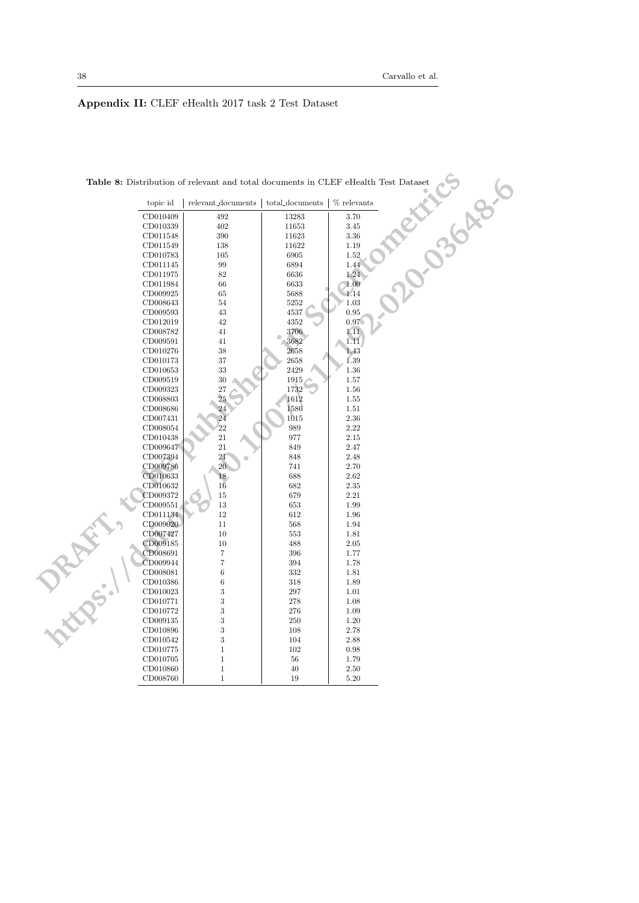# Appendix II: CLEF eHealth 2017 task 2 Test Dataset

<span id="page-37-0"></span>

|                                |                         |                 | Table 8: Distribution of relevant and total documents in CLEF eHealth Test Dataset<br><b>PO 036 AB</b> |
|--------------------------------|-------------------------|-----------------|--------------------------------------------------------------------------------------------------------|
| topic id                       | relevant_documents      | total_documents | $%$ relevants                                                                                          |
| CD010409                       | 492                     | 13283           | 3.70                                                                                                   |
| CD010339                       | 402                     | 11653           | 3.45                                                                                                   |
| CD011548                       | $390\,$                 | 11623           | 3.36                                                                                                   |
| CD011549                       | 138                     | 11622           | 1.19                                                                                                   |
| CD010783                       | 105                     | 6905            | 1.52                                                                                                   |
| CD011145                       | 99                      | 6894            | 1.44                                                                                                   |
| CD011975                       | $82\,$                  | 6636            | 1.24                                                                                                   |
| CD011984                       | 66                      | 6633            | 1.00                                                                                                   |
| CD009925                       | 65                      | 5688            | 1.14                                                                                                   |
| CD008643                       | 54                      | 5252            | 1.03                                                                                                   |
| CD009593                       | 43                      | 4537            | 0.95                                                                                                   |
| CD012019                       | 42                      | 4352            | 0.97                                                                                                   |
| CD008782                       | 41                      | 3706            | 1.11                                                                                                   |
| CD009591                       | 41                      | 3682            | 1.11                                                                                                   |
| CD010276                       | $38\,$                  | 2658            | 1.43                                                                                                   |
| CD010173                       | $37\,$                  | 2658            | 1.39                                                                                                   |
| CD010653                       | $33\,$                  | 2429            | 1.36                                                                                                   |
| CD009519                       | $30\,$                  | 1915            | 1.57                                                                                                   |
| CD009323                       |                         | 1732            | 1.56                                                                                                   |
| CD008803                       | $\frac{27}{25}$         | 1612            | 1.55                                                                                                   |
| CD008686                       | 24                      | 1586            | 1.51                                                                                                   |
| CD007431                       | 24                      | $1\bar{0}15$    | 2.36                                                                                                   |
| CD008054                       | $22\,$                  | 989             | 2.22                                                                                                   |
| CD010438                       | $21\,$                  | 977             | 2.15                                                                                                   |
| CD009647                       | 21                      | 849             | 2.47                                                                                                   |
| CD007394                       | 21<br>$\bullet$         | 848             | 2.48                                                                                                   |
| CD009786                       | 20                      | 741             | 2.70                                                                                                   |
| CD010633                       | 18 <sub>o</sub>         | 688             | 2.62                                                                                                   |
| CD010632                       | $16\,$                  | 682             | 2.35                                                                                                   |
| CD009372                       | $15\,$                  | 679             | 2.21                                                                                                   |
| CD009551                       | $13\,$                  | 653             | 1.99                                                                                                   |
| CD011134                       | 12                      | 612             | 1.96                                                                                                   |
| CD009020                       | 11                      | 568             | 1.94                                                                                                   |
| CD007427                       | 10                      | 553             | 1.81                                                                                                   |
| CD009185                       | $10\,$                  | 488             | 2.05                                                                                                   |
| CD008691                       | $\scriptstyle{7}$       | 396             | 1.77                                                                                                   |
| CD009944                       | 7                       | 394             | 1.78                                                                                                   |
| CD008081                       | 6                       | 332             | 1.81                                                                                                   |
| CD010386                       | 6                       | 318             | 1.89                                                                                                   |
| CD010023                       | 3                       | 297             | 1.01                                                                                                   |
| CD010771                       | 3                       | 278             | 1.08                                                                                                   |
| CD010772                       | 3                       | 276             | 1.09                                                                                                   |
| <b>VALUE VALUE</b><br>CD009135 | 3                       | 250             | 1.20                                                                                                   |
| CD010896                       | 3                       | 108             | 2.78                                                                                                   |
| CD010542                       | $\overline{\mathbf{3}}$ | 104             | 2.88                                                                                                   |
| CD010775                       | $\,1$                   | 102             | 0.98                                                                                                   |
| CD010705                       | $\,1$                   | 56              | 1.79                                                                                                   |
| CD010860                       | $1\,$                   | 40              | 2.50                                                                                                   |
| CD008760                       | $\,1$                   | 19              | 5.20                                                                                                   |